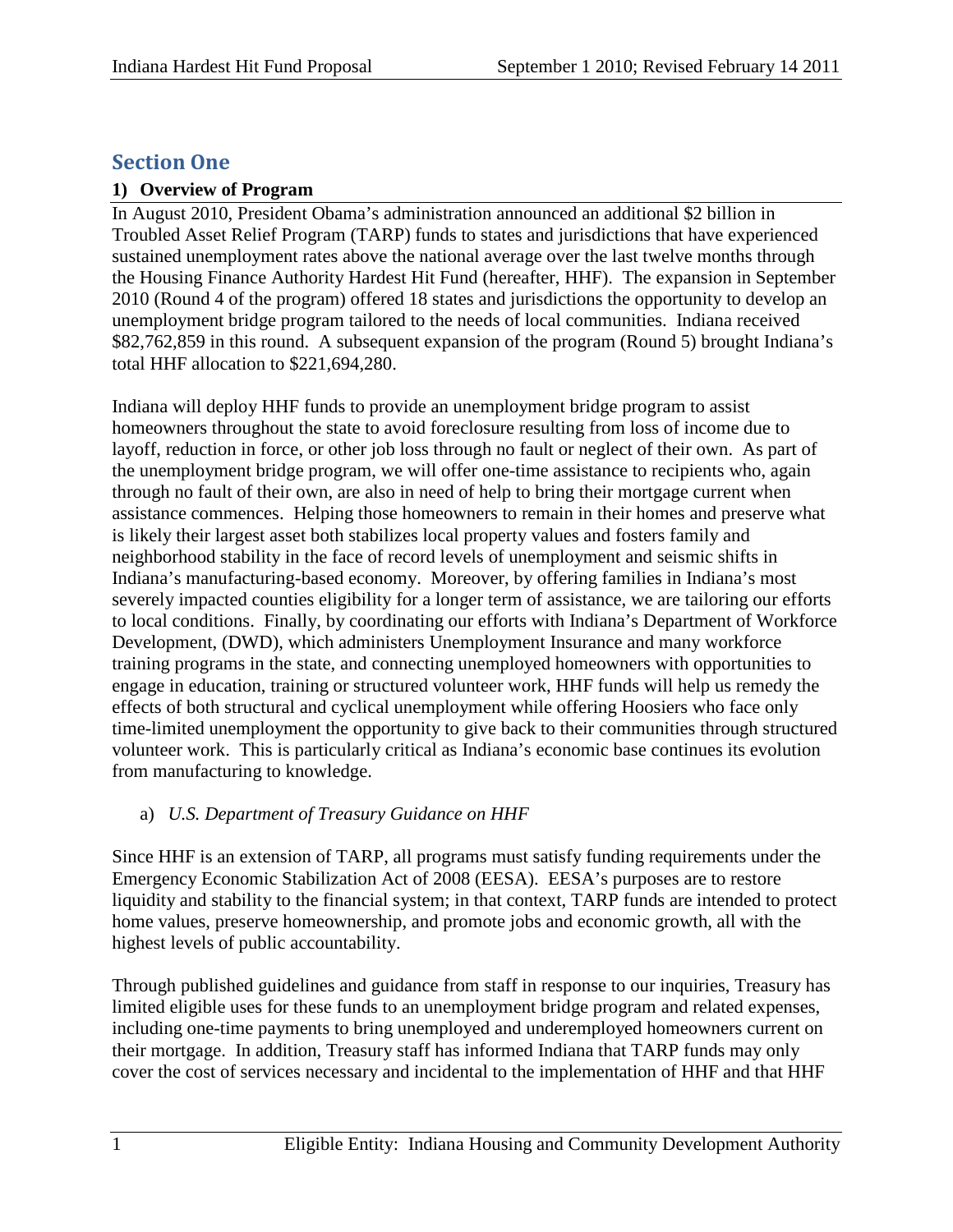# **Section One**

## **1) Overview of Program**

In August 2010, President Obama's administration announced an additional \$2 billion in Troubled Asset Relief Program (TARP) funds to states and jurisdictions that have experienced sustained unemployment rates above the national average over the last twelve months through the Housing Finance Authority Hardest Hit Fund (hereafter, HHF). The expansion in September 2010 (Round 4 of the program) offered 18 states and jurisdictions the opportunity to develop an unemployment bridge program tailored to the needs of local communities. Indiana received \$82,762,859 in this round. A subsequent expansion of the program (Round 5) brought Indiana's total HHF allocation to \$221,694,280.

Indiana will deploy HHF funds to provide an unemployment bridge program to assist homeowners throughout the state to avoid foreclosure resulting from loss of income due to layoff, reduction in force, or other job loss through no fault or neglect of their own. As part of the unemployment bridge program, we will offer one-time assistance to recipients who, again through no fault of their own, are also in need of help to bring their mortgage current when assistance commences. Helping those homeowners to remain in their homes and preserve what is likely their largest asset both stabilizes local property values and fosters family and neighborhood stability in the face of record levels of unemployment and seismic shifts in Indiana's manufacturing-based economy. Moreover, by offering families in Indiana's most severely impacted counties eligibility for a longer term of assistance, we are tailoring our efforts to local conditions. Finally, by coordinating our efforts with Indiana's Department of Workforce Development, (DWD), which administers Unemployment Insurance and many workforce training programs in the state, and connecting unemployed homeowners with opportunities to engage in education, training or structured volunteer work, HHF funds will help us remedy the effects of both structural and cyclical unemployment while offering Hoosiers who face only time-limited unemployment the opportunity to give back to their communities through structured volunteer work. This is particularly critical as Indiana's economic base continues its evolution from manufacturing to knowledge.

# a) *U.S. Department of Treasury Guidance on HHF*

Since HHF is an extension of TARP, all programs must satisfy funding requirements under the Emergency Economic Stabilization Act of 2008 (EESA). EESA's purposes are to restore liquidity and stability to the financial system; in that context, TARP funds are intended to protect home values, preserve homeownership, and promote jobs and economic growth, all with the highest levels of public accountability.

Through published guidelines and guidance from staff in response to our inquiries, Treasury has limited eligible uses for these funds to an unemployment bridge program and related expenses, including one-time payments to bring unemployed and underemployed homeowners current on their mortgage. In addition, Treasury staff has informed Indiana that TARP funds may only cover the cost of services necessary and incidental to the implementation of HHF and that HHF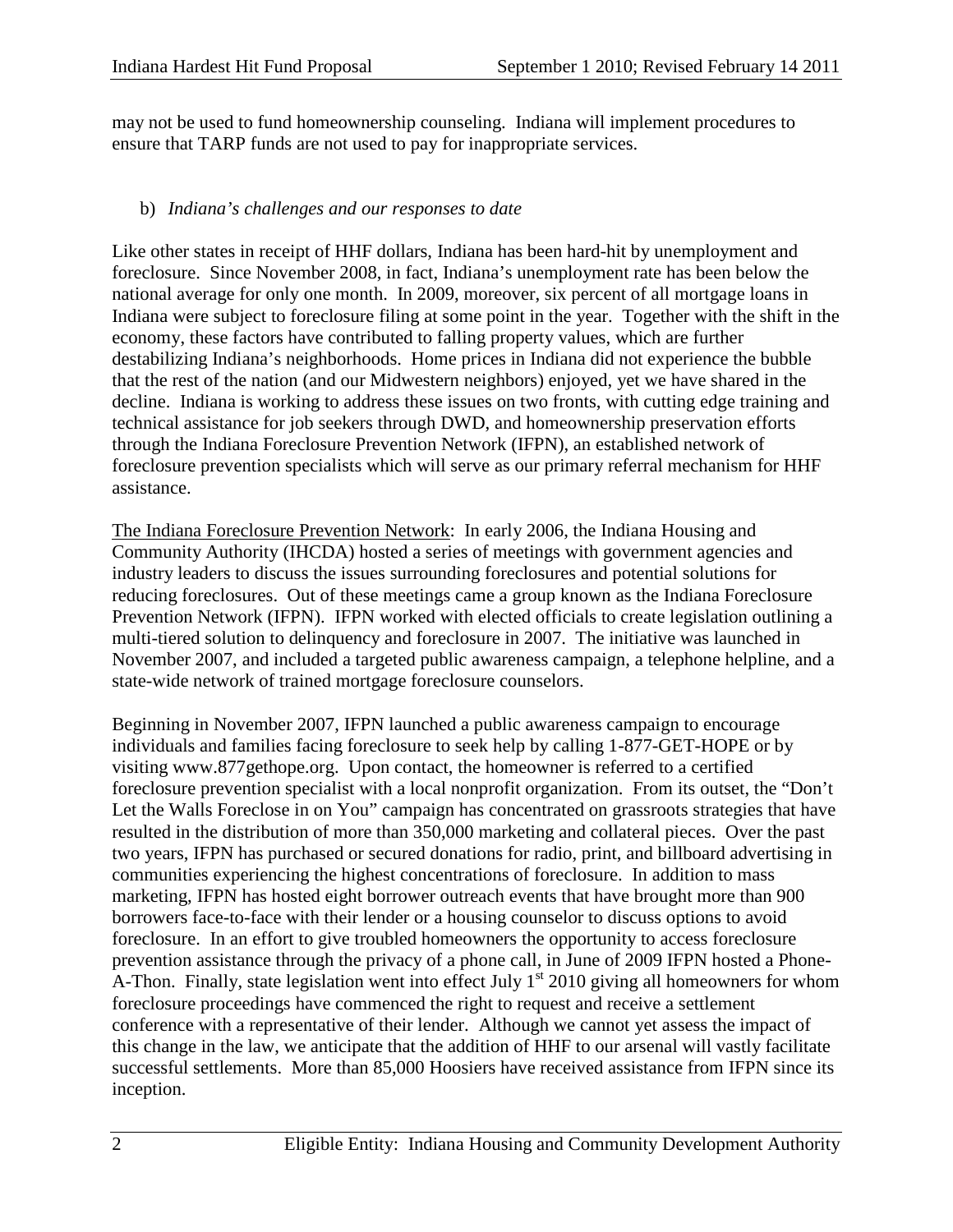may not be used to fund homeownership counseling. Indiana will implement procedures to ensure that TARP funds are not used to pay for inappropriate services.

## b) *Indiana's challenges and our responses to date*

Like other states in receipt of HHF dollars, Indiana has been hard-hit by unemployment and foreclosure. Since November 2008, in fact, Indiana's unemployment rate has been below the national average for only one month. In 2009, moreover, six percent of all mortgage loans in Indiana were subject to foreclosure filing at some point in the year. Together with the shift in the economy, these factors have contributed to falling property values, which are further destabilizing Indiana's neighborhoods. Home prices in Indiana did not experience the bubble that the rest of the nation (and our Midwestern neighbors) enjoyed, yet we have shared in the decline. Indiana is working to address these issues on two fronts, with cutting edge training and technical assistance for job seekers through DWD, and homeownership preservation efforts through the Indiana Foreclosure Prevention Network (IFPN), an established network of foreclosure prevention specialists which will serve as our primary referral mechanism for HHF assistance.

The Indiana Foreclosure Prevention Network: In early 2006, the Indiana Housing and Community Authority (IHCDA) hosted a series of meetings with government agencies and industry leaders to discuss the issues surrounding foreclosures and potential solutions for reducing foreclosures. Out of these meetings came a group known as the Indiana Foreclosure Prevention Network (IFPN). IFPN worked with elected officials to create legislation outlining a multi-tiered solution to delinquency and foreclosure in 2007. The initiative was launched in November 2007, and included a targeted public awareness campaign, a telephone helpline, and a state-wide network of trained mortgage foreclosure counselors.

Beginning in November 2007, IFPN launched a public awareness campaign to encourage individuals and families facing foreclosure to seek help by calling 1-877-GET-HOPE or by visiting www.877gethope.org. Upon contact, the homeowner is referred to a certified foreclosure prevention specialist with a local nonprofit organization. From its outset, the "Don't Let the Walls Foreclose in on You" campaign has concentrated on grassroots strategies that have resulted in the distribution of more than 350,000 marketing and collateral pieces. Over the past two years, IFPN has purchased or secured donations for radio, print, and billboard advertising in communities experiencing the highest concentrations of foreclosure. In addition to mass marketing, IFPN has hosted eight borrower outreach events that have brought more than 900 borrowers face-to-face with their lender or a housing counselor to discuss options to avoid foreclosure. In an effort to give troubled homeowners the opportunity to access foreclosure prevention assistance through the privacy of a phone call, in June of 2009 IFPN hosted a Phone-A-Thon. Finally, state legislation went into effect July  $1<sup>st</sup>$  2010 giving all homeowners for whom foreclosure proceedings have commenced the right to request and receive a settlement conference with a representative of their lender. Although we cannot yet assess the impact of this change in the law, we anticipate that the addition of HHF to our arsenal will vastly facilitate successful settlements. More than 85,000 Hoosiers have received assistance from IFPN since its inception.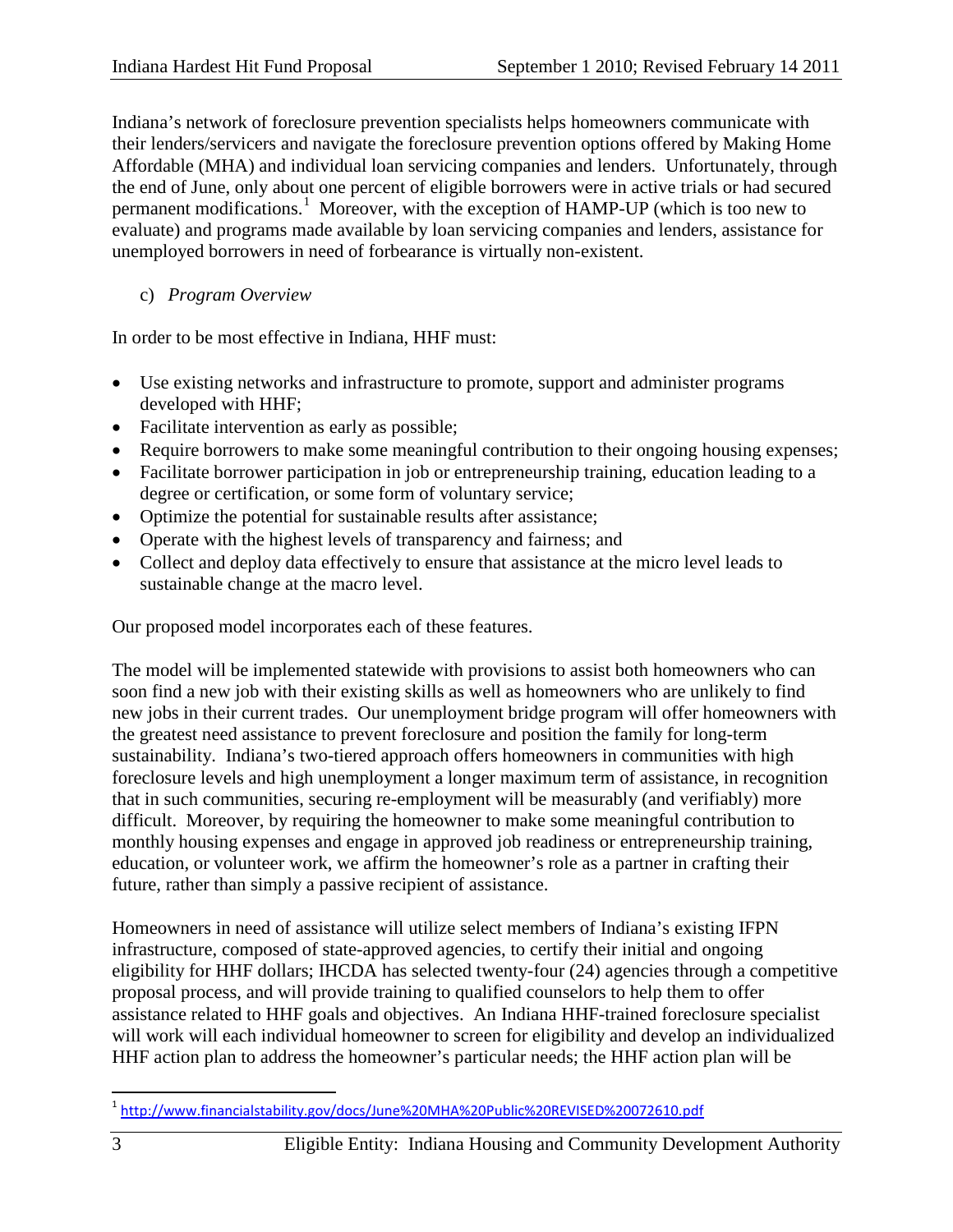Indiana's network of foreclosure prevention specialists helps homeowners communicate with their lenders/servicers and navigate the foreclosure prevention options offered by Making Home Affordable (MHA) and individual loan servicing companies and lenders. Unfortunately, through the end of June, only about one percent of eligible borrowers were in active trials or had secured permanent modifications.<sup>[1](#page-2-0)</sup> Moreover, with the exception of HAMP-UP (which is too new to evaluate) and programs made available by loan servicing companies and lenders, assistance for unemployed borrowers in need of forbearance is virtually non-existent.

c) *Program Overview*

In order to be most effective in Indiana, HHF must:

- Use existing networks and infrastructure to promote, support and administer programs developed with HHF;
- Facilitate intervention as early as possible;
- Require borrowers to make some meaningful contribution to their ongoing housing expenses;
- Facilitate borrower participation in job or entrepreneurship training, education leading to a degree or certification, or some form of voluntary service;
- Optimize the potential for sustainable results after assistance;
- Operate with the highest levels of transparency and fairness; and
- Collect and deploy data effectively to ensure that assistance at the micro level leads to sustainable change at the macro level.

Our proposed model incorporates each of these features.

The model will be implemented statewide with provisions to assist both homeowners who can soon find a new job with their existing skills as well as homeowners who are unlikely to find new jobs in their current trades. Our unemployment bridge program will offer homeowners with the greatest need assistance to prevent foreclosure and position the family for long-term sustainability. Indiana's two-tiered approach offers homeowners in communities with high foreclosure levels and high unemployment a longer maximum term of assistance, in recognition that in such communities, securing re-employment will be measurably (and verifiably) more difficult. Moreover, by requiring the homeowner to make some meaningful contribution to monthly housing expenses and engage in approved job readiness or entrepreneurship training, education, or volunteer work, we affirm the homeowner's role as a partner in crafting their future, rather than simply a passive recipient of assistance.

Homeowners in need of assistance will utilize select members of Indiana's existing IFPN infrastructure, composed of state-approved agencies, to certify their initial and ongoing eligibility for HHF dollars; IHCDA has selected twenty-four (24) agencies through a competitive proposal process, and will provide training to qualified counselors to help them to offer assistance related to HHF goals and objectives. An Indiana HHF-trained foreclosure specialist will work will each individual homeowner to screen for eligibility and develop an individualized HHF action plan to address the homeowner's particular needs; the HHF action plan will be

<span id="page-2-0"></span> <sup>1</sup> <http://www.financialstability.gov/docs/June%20MHA%20Public%20REVISED%20072610.pdf>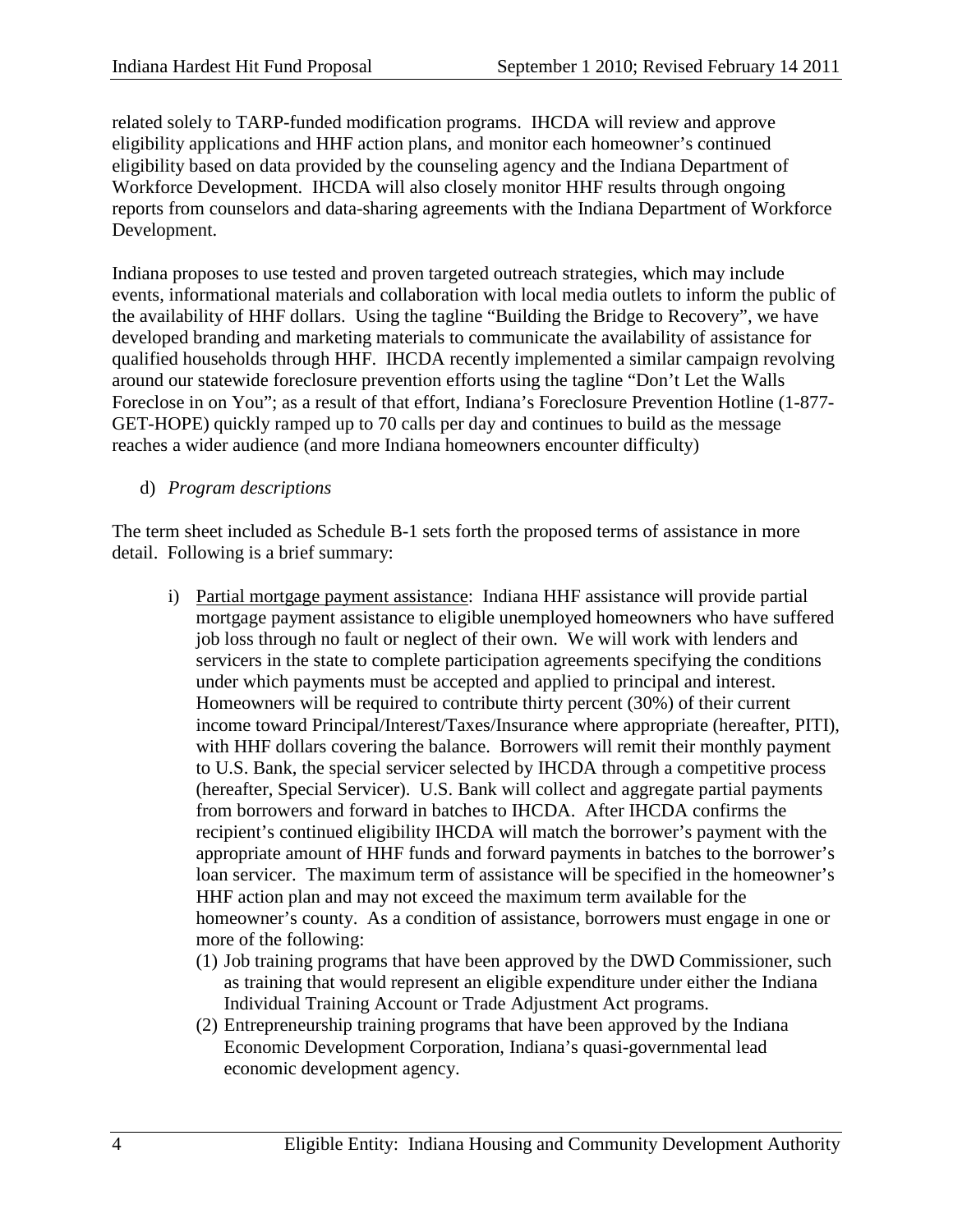related solely to TARP-funded modification programs. IHCDA will review and approve eligibility applications and HHF action plans, and monitor each homeowner's continued eligibility based on data provided by the counseling agency and the Indiana Department of Workforce Development. IHCDA will also closely monitor HHF results through ongoing reports from counselors and data-sharing agreements with the Indiana Department of Workforce Development.

Indiana proposes to use tested and proven targeted outreach strategies, which may include events, informational materials and collaboration with local media outlets to inform the public of the availability of HHF dollars. Using the tagline "Building the Bridge to Recovery", we have developed branding and marketing materials to communicate the availability of assistance for qualified households through HHF. IHCDA recently implemented a similar campaign revolving around our statewide foreclosure prevention efforts using the tagline "Don't Let the Walls Foreclose in on You"; as a result of that effort, Indiana's Foreclosure Prevention Hotline (1-877- GET-HOPE) quickly ramped up to 70 calls per day and continues to build as the message reaches a wider audience (and more Indiana homeowners encounter difficulty)

## d) *Program descriptions*

The term sheet included as Schedule B-1 sets forth the proposed terms of assistance in more detail. Following is a brief summary:

- i) Partial mortgage payment assistance: Indiana HHF assistance will provide partial mortgage payment assistance to eligible unemployed homeowners who have suffered job loss through no fault or neglect of their own. We will work with lenders and servicers in the state to complete participation agreements specifying the conditions under which payments must be accepted and applied to principal and interest. Homeowners will be required to contribute thirty percent (30%) of their current income toward Principal/Interest/Taxes/Insurance where appropriate (hereafter, PITI), with HHF dollars covering the balance. Borrowers will remit their monthly payment to U.S. Bank, the special servicer selected by IHCDA through a competitive process (hereafter, Special Servicer). U.S. Bank will collect and aggregate partial payments from borrowers and forward in batches to IHCDA. After IHCDA confirms the recipient's continued eligibility IHCDA will match the borrower's payment with the appropriate amount of HHF funds and forward payments in batches to the borrower's loan servicer. The maximum term of assistance will be specified in the homeowner's HHF action plan and may not exceed the maximum term available for the homeowner's county. As a condition of assistance, borrowers must engage in one or more of the following:
	- (1) Job training programs that have been approved by the DWD Commissioner, such as training that would represent an eligible expenditure under either the Indiana Individual Training Account or Trade Adjustment Act programs.
	- (2) Entrepreneurship training programs that have been approved by the Indiana Economic Development Corporation, Indiana's quasi-governmental lead economic development agency.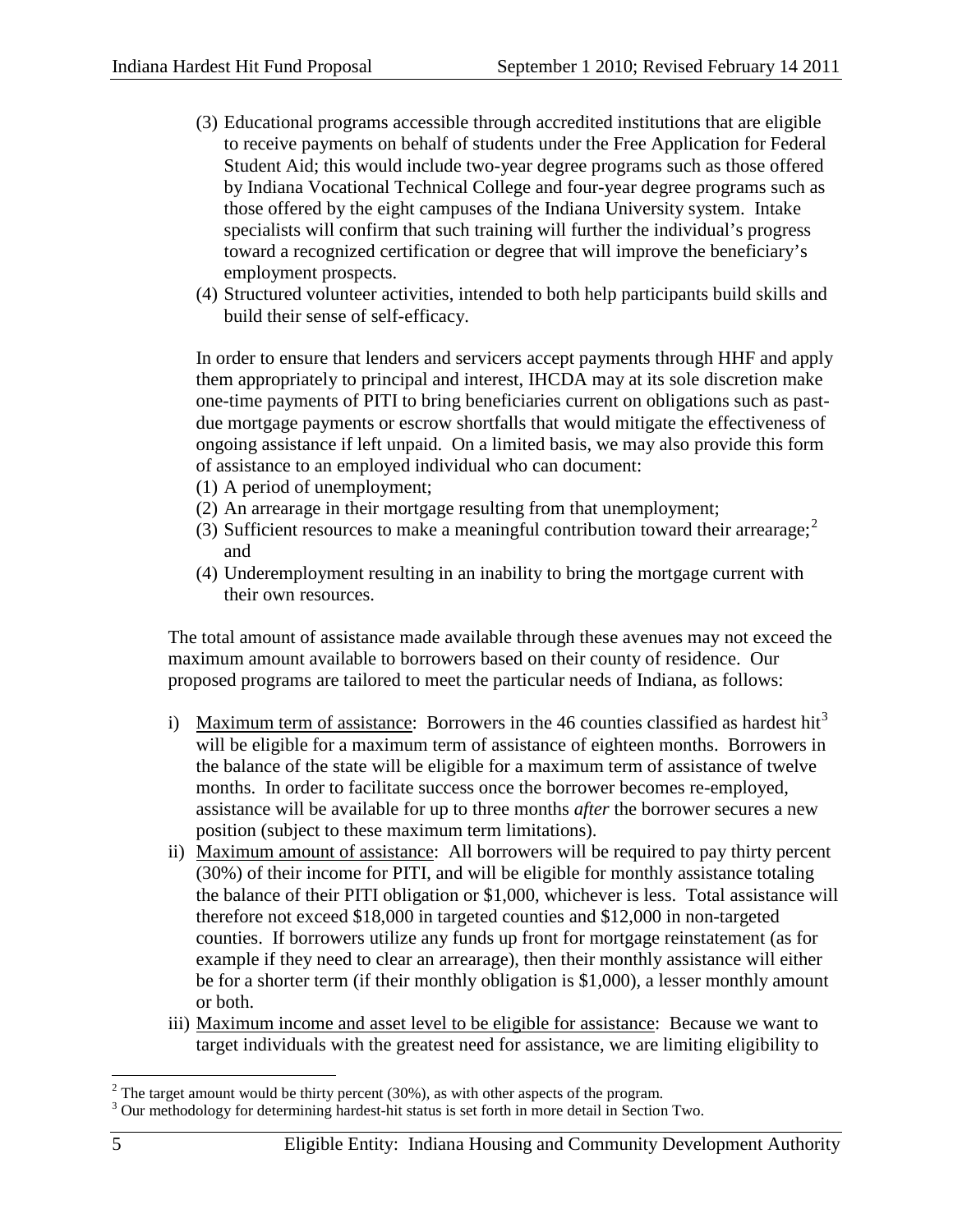- (3) Educational programs accessible through accredited institutions that are eligible to receive payments on behalf of students under the Free Application for Federal Student Aid; this would include two-year degree programs such as those offered by Indiana Vocational Technical College and four-year degree programs such as those offered by the eight campuses of the Indiana University system. Intake specialists will confirm that such training will further the individual's progress toward a recognized certification or degree that will improve the beneficiary's employment prospects.
- (4) Structured volunteer activities, intended to both help participants build skills and build their sense of self-efficacy.

In order to ensure that lenders and servicers accept payments through HHF and apply them appropriately to principal and interest, IHCDA may at its sole discretion make one-time payments of PITI to bring beneficiaries current on obligations such as pastdue mortgage payments or escrow shortfalls that would mitigate the effectiveness of ongoing assistance if left unpaid. On a limited basis, we may also provide this form of assistance to an employed individual who can document:

- (1) A period of unemployment;
- (2) An arrearage in their mortgage resulting from that unemployment;
- (3) Sufficient resources to make a meaningful contribution toward their arrearage; $2^2$  $2^2$ and
- (4) Underemployment resulting in an inability to bring the mortgage current with their own resources.

The total amount of assistance made available through these avenues may not exceed the maximum amount available to borrowers based on their county of residence. Our proposed programs are tailored to meet the particular needs of Indiana, as follows:

- i) Maximum term of assistance: Borrowers in the 46 counties classified as hardest hit<sup>[3](#page-4-1)</sup> will be eligible for a maximum term of assistance of eighteen months. Borrowers in the balance of the state will be eligible for a maximum term of assistance of twelve months. In order to facilitate success once the borrower becomes re-employed, assistance will be available for up to three months *after* the borrower secures a new position (subject to these maximum term limitations).
- ii) Maximum amount of assistance: All borrowers will be required to pay thirty percent (30%) of their income for PITI, and will be eligible for monthly assistance totaling the balance of their PITI obligation or \$1,000, whichever is less. Total assistance will therefore not exceed \$18,000 in targeted counties and \$12,000 in non-targeted counties. If borrowers utilize any funds up front for mortgage reinstatement (as for example if they need to clear an arrearage), then their monthly assistance will either be for a shorter term (if their monthly obligation is \$1,000), a lesser monthly amount or both.
- iii) Maximum income and asset level to be eligible for assistance: Because we want to target individuals with the greatest need for assistance, we are limiting eligibility to

<span id="page-4-1"></span>

<span id="page-4-0"></span><sup>&</sup>lt;sup>2</sup> The target amount would be thirty percent (30%), as with other aspects of the program.<br><sup>3</sup> Our methodology for determining hardest-hit status is set forth in more detail in Section Two.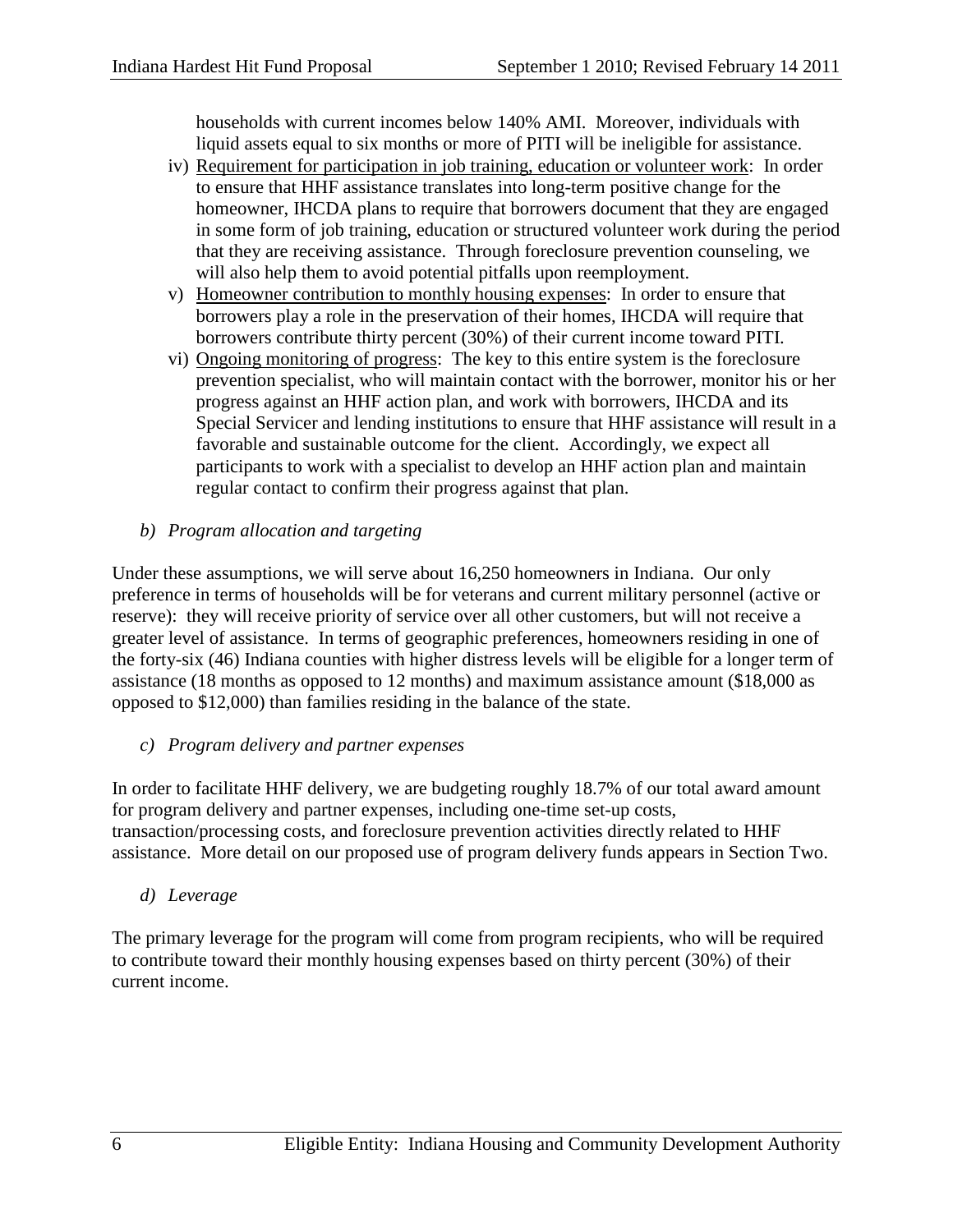households with current incomes below 140% AMI. Moreover, individuals with liquid assets equal to six months or more of PITI will be ineligible for assistance.

- iv) Requirement for participation in job training, education or volunteer work: In order to ensure that HHF assistance translates into long-term positive change for the homeowner, IHCDA plans to require that borrowers document that they are engaged in some form of job training, education or structured volunteer work during the period that they are receiving assistance. Through foreclosure prevention counseling, we will also help them to avoid potential pitfalls upon reemployment.
- v) Homeowner contribution to monthly housing expenses: In order to ensure that borrowers play a role in the preservation of their homes, IHCDA will require that borrowers contribute thirty percent (30%) of their current income toward PITI.
- vi) Ongoing monitoring of progress: The key to this entire system is the foreclosure prevention specialist, who will maintain contact with the borrower, monitor his or her progress against an HHF action plan, and work with borrowers, IHCDA and its Special Servicer and lending institutions to ensure that HHF assistance will result in a favorable and sustainable outcome for the client. Accordingly, we expect all participants to work with a specialist to develop an HHF action plan and maintain regular contact to confirm their progress against that plan.
- *b) Program allocation and targeting*

Under these assumptions, we will serve about 16,250 homeowners in Indiana. Our only preference in terms of households will be for veterans and current military personnel (active or reserve): they will receive priority of service over all other customers, but will not receive a greater level of assistance. In terms of geographic preferences, homeowners residing in one of the forty-six (46) Indiana counties with higher distress levels will be eligible for a longer term of assistance (18 months as opposed to 12 months) and maximum assistance amount (\$18,000 as opposed to \$12,000) than families residing in the balance of the state.

## *c) Program delivery and partner expenses*

In order to facilitate HHF delivery, we are budgeting roughly 18.7% of our total award amount for program delivery and partner expenses, including one-time set-up costs, transaction/processing costs, and foreclosure prevention activities directly related to HHF assistance. More detail on our proposed use of program delivery funds appears in Section Two.

## *d) Leverage*

The primary leverage for the program will come from program recipients, who will be required to contribute toward their monthly housing expenses based on thirty percent (30%) of their current income.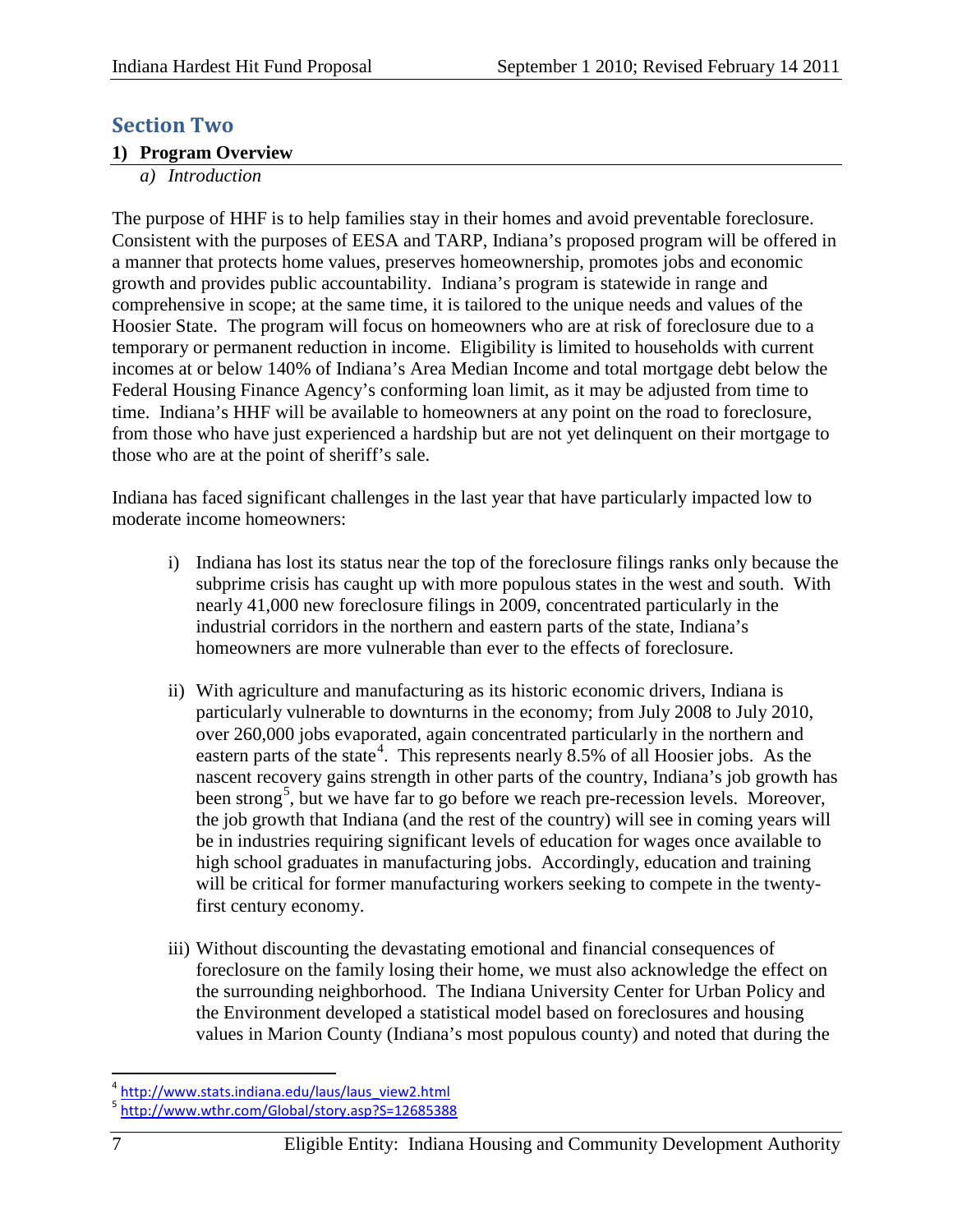# **Section Two**

#### **1) Program Overview**

*a) Introduction*

The purpose of HHF is to help families stay in their homes and avoid preventable foreclosure. Consistent with the purposes of EESA and TARP, Indiana's proposed program will be offered in a manner that protects home values, preserves homeownership, promotes jobs and economic growth and provides public accountability. Indiana's program is statewide in range and comprehensive in scope; at the same time, it is tailored to the unique needs and values of the Hoosier State. The program will focus on homeowners who are at risk of foreclosure due to a temporary or permanent reduction in income. Eligibility is limited to households with current incomes at or below 140% of Indiana's Area Median Income and total mortgage debt below the Federal Housing Finance Agency's conforming loan limit, as it may be adjusted from time to time. Indiana's HHF will be available to homeowners at any point on the road to foreclosure, from those who have just experienced a hardship but are not yet delinquent on their mortgage to those who are at the point of sheriff's sale.

Indiana has faced significant challenges in the last year that have particularly impacted low to moderate income homeowners:

- i) Indiana has lost its status near the top of the foreclosure filings ranks only because the subprime crisis has caught up with more populous states in the west and south. With nearly 41,000 new foreclosure filings in 2009, concentrated particularly in the industrial corridors in the northern and eastern parts of the state, Indiana's homeowners are more vulnerable than ever to the effects of foreclosure.
- ii) With agriculture and manufacturing as its historic economic drivers, Indiana is particularly vulnerable to downturns in the economy; from July 2008 to July 2010, over 260,000 jobs evaporated, again concentrated particularly in the northern and eastern parts of the state<sup>[4](#page-6-0)</sup>. This represents nearly  $8.5\%$  of all Hoosier jobs. As the nascent recovery gains strength in other parts of the country, Indiana's job growth has been strong<sup>[5](#page-6-1)</sup>, but we have far to go before we reach pre-recession levels. Moreover, the job growth that Indiana (and the rest of the country) will see in coming years will be in industries requiring significant levels of education for wages once available to high school graduates in manufacturing jobs. Accordingly, education and training will be critical for former manufacturing workers seeking to compete in the twentyfirst century economy.
- iii) Without discounting the devastating emotional and financial consequences of foreclosure on the family losing their home, we must also acknowledge the effect on the surrounding neighborhood. The Indiana University Center for Urban Policy and the Environment developed a statistical model based on foreclosures and housing values in Marion County (Indiana's most populous county) and noted that during the

<span id="page-6-0"></span><sup>&</sup>lt;sup>4</sup> [http://www.stats.indiana.edu/laus/laus\\_view2.html](http://www.stats.indiana.edu/laus/laus_view2.html)

<span id="page-6-1"></span><sup>&</sup>lt;sup>5</sup> <http://www.wthr.com/Global/story.asp?S=12685388>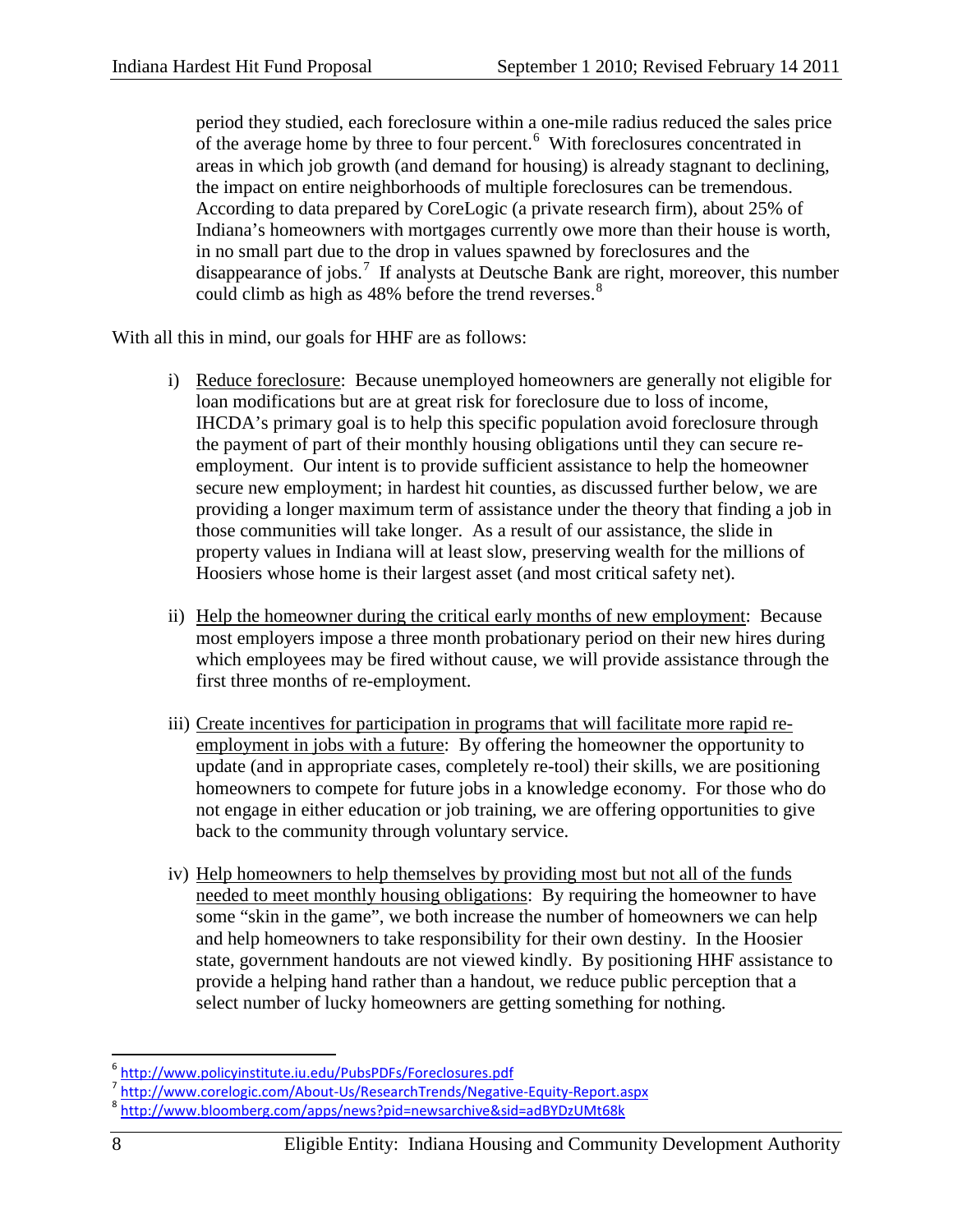period they studied, each foreclosure within a one-mile radius reduced the sales price of the average home by three to four percent.<sup>[6](#page-7-0)</sup> With foreclosures concentrated in areas in which job growth (and demand for housing) is already stagnant to declining, the impact on entire neighborhoods of multiple foreclosures can be tremendous. According to data prepared by CoreLogic (a private research firm), about 25% of Indiana's homeowners with mortgages currently owe more than their house is worth, in no small part due to the drop in values spawned by foreclosures and the disappearance of jobs. [7](#page-7-1) If analysts at Deutsche Bank are right, moreover, this number could climb as high as 4[8](#page-7-2)% before the trend reverses.<sup>8</sup>

With all this in mind, our goals for HHF are as follows:

- i) Reduce foreclosure: Because unemployed homeowners are generally not eligible for loan modifications but are at great risk for foreclosure due to loss of income, IHCDA's primary goal is to help this specific population avoid foreclosure through the payment of part of their monthly housing obligations until they can secure reemployment. Our intent is to provide sufficient assistance to help the homeowner secure new employment; in hardest hit counties, as discussed further below, we are providing a longer maximum term of assistance under the theory that finding a job in those communities will take longer. As a result of our assistance, the slide in property values in Indiana will at least slow, preserving wealth for the millions of Hoosiers whose home is their largest asset (and most critical safety net).
- ii) Help the homeowner during the critical early months of new employment: Because most employers impose a three month probationary period on their new hires during which employees may be fired without cause, we will provide assistance through the first three months of re-employment.
- iii) Create incentives for participation in programs that will facilitate more rapid reemployment in jobs with a future: By offering the homeowner the opportunity to update (and in appropriate cases, completely re-tool) their skills, we are positioning homeowners to compete for future jobs in a knowledge economy. For those who do not engage in either education or job training, we are offering opportunities to give back to the community through voluntary service.
- iv) Help homeowners to help themselves by providing most but not all of the funds needed to meet monthly housing obligations: By requiring the homeowner to have some "skin in the game", we both increase the number of homeowners we can help and help homeowners to take responsibility for their own destiny. In the Hoosier state, government handouts are not viewed kindly. By positioning HHF assistance to provide a helping hand rather than a handout, we reduce public perception that a select number of lucky homeowners are getting something for nothing.

<span id="page-7-0"></span><sup>&</sup>lt;sup>6</sup> <http://www.policyinstitute.iu.edu/PubsPDFs/Foreclosures.pdf><br><sup>7</sup> http://www.corelogic.com/About-Us/ResearchTrends/Negative-Equity-Report.aspx

<span id="page-7-2"></span><span id="page-7-1"></span><sup>&</sup>lt;sup>8</sup> <http://www.bloomberg.com/apps/news?pid=newsarchive&sid=adBYDzUMt68k>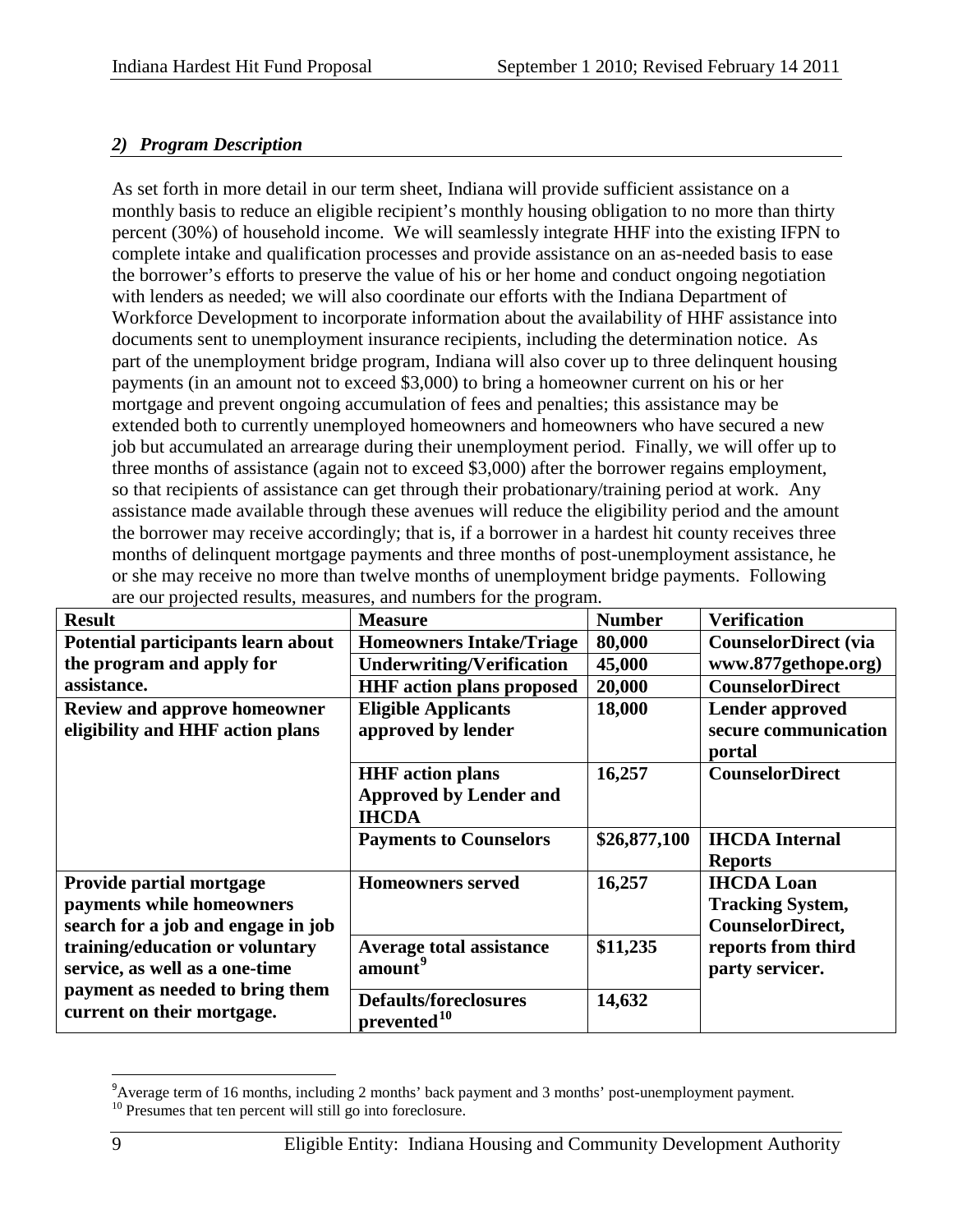## *2) Program Description*

As set forth in more detail in our term sheet, Indiana will provide sufficient assistance on a monthly basis to reduce an eligible recipient's monthly housing obligation to no more than thirty percent (30%) of household income. We will seamlessly integrate HHF into the existing IFPN to complete intake and qualification processes and provide assistance on an as-needed basis to ease the borrower's efforts to preserve the value of his or her home and conduct ongoing negotiation with lenders as needed; we will also coordinate our efforts with the Indiana Department of Workforce Development to incorporate information about the availability of HHF assistance into documents sent to unemployment insurance recipients, including the determination notice. As part of the unemployment bridge program, Indiana will also cover up to three delinquent housing payments (in an amount not to exceed \$3,000) to bring a homeowner current on his or her mortgage and prevent ongoing accumulation of fees and penalties; this assistance may be extended both to currently unemployed homeowners and homeowners who have secured a new job but accumulated an arrearage during their unemployment period. Finally, we will offer up to three months of assistance (again not to exceed \$3,000) after the borrower regains employment, so that recipients of assistance can get through their probationary/training period at work. Any assistance made available through these avenues will reduce the eligibility period and the amount the borrower may receive accordingly; that is, if a borrower in a hardest hit county receives three months of delinquent mortgage payments and three months of post-unemployment assistance, he or she may receive no more than twelve months of unemployment bridge payments. Following are our projected results, measures, and numbers for the program.

| <b>Result</b>                                                                               | <b>Measure</b>                                                           | <b>Number</b> | <b>Verification</b>                                              |
|---------------------------------------------------------------------------------------------|--------------------------------------------------------------------------|---------------|------------------------------------------------------------------|
| Potential participants learn about                                                          | <b>Homeowners Intake/Triage</b>                                          | 80,000        | <b>CounselorDirect (via</b>                                      |
| the program and apply for                                                                   | <b>Underwriting/Verification</b>                                         | 45,000        | www.877gethope.org)                                              |
| assistance.                                                                                 | <b>HHF</b> action plans proposed                                         | 20,000        | <b>CounselorDirect</b>                                           |
| <b>Review and approve homeowner</b><br>eligibility and HHF action plans                     | <b>Eligible Applicants</b><br>approved by lender                         | 18,000        | <b>Lender approved</b><br>secure communication<br>portal         |
|                                                                                             | <b>HHF</b> action plans<br><b>Approved by Lender and</b><br><b>IHCDA</b> | 16,257        | <b>CounselorDirect</b>                                           |
|                                                                                             | <b>Payments to Counselors</b>                                            | \$26,877,100  | <b>IHCDA</b> Internal<br><b>Reports</b>                          |
| Provide partial mortgage<br>payments while homeowners<br>search for a job and engage in job | <b>Homeowners served</b>                                                 | 16,257        | <b>IHCDA</b> Loan<br><b>Tracking System,</b><br>CounselorDirect, |
| training/education or voluntary<br>service, as well as a one-time                           | Average total assistance<br>amount <sup>9</sup>                          | \$11,235      | reports from third<br>party servicer.                            |
| payment as needed to bring them<br>current on their mortgage.                               | <b>Defaults/foreclosures</b><br>prevented <sup>10</sup>                  | 14,632        |                                                                  |

<span id="page-8-1"></span><span id="page-8-0"></span> <sup>9</sup> <sup>9</sup> Average term of 16 months, including 2 months' back payment and 3 months' post-unemployment payment. <sup>10</sup> Presumes that ten percent will still go into foreclosure.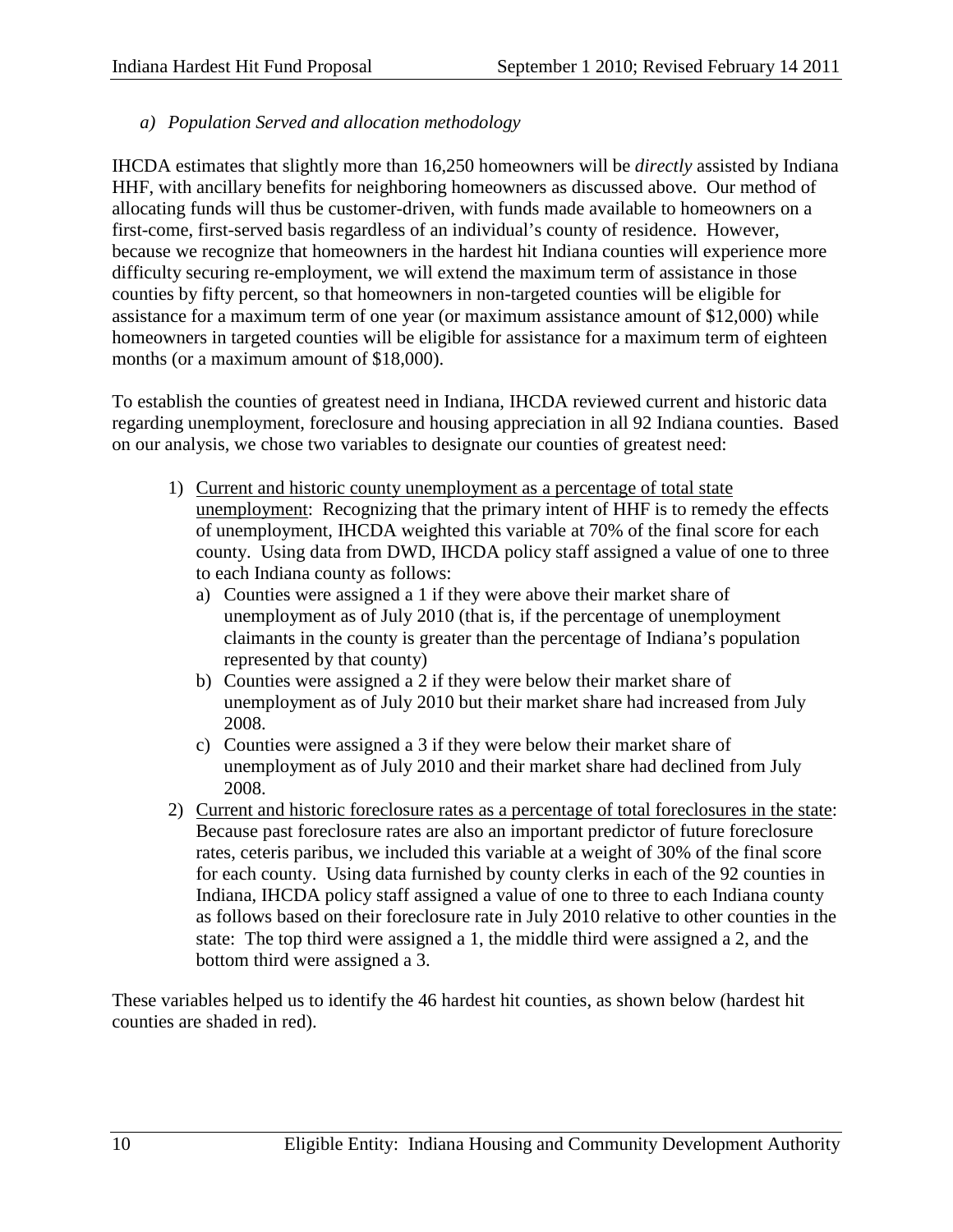*a) Population Served and allocation methodology*

IHCDA estimates that slightly more than 16,250 homeowners will be *directly* assisted by Indiana HHF, with ancillary benefits for neighboring homeowners as discussed above. Our method of allocating funds will thus be customer-driven, with funds made available to homeowners on a first-come, first-served basis regardless of an individual's county of residence. However, because we recognize that homeowners in the hardest hit Indiana counties will experience more difficulty securing re-employment, we will extend the maximum term of assistance in those counties by fifty percent, so that homeowners in non-targeted counties will be eligible for assistance for a maximum term of one year (or maximum assistance amount of \$12,000) while homeowners in targeted counties will be eligible for assistance for a maximum term of eighteen months (or a maximum amount of \$18,000).

To establish the counties of greatest need in Indiana, IHCDA reviewed current and historic data regarding unemployment, foreclosure and housing appreciation in all 92 Indiana counties. Based on our analysis, we chose two variables to designate our counties of greatest need:

- 1) Current and historic county unemployment as a percentage of total state unemployment: Recognizing that the primary intent of HHF is to remedy the effects of unemployment, IHCDA weighted this variable at 70% of the final score for each county. Using data from DWD, IHCDA policy staff assigned a value of one to three to each Indiana county as follows:
	- a) Counties were assigned a 1 if they were above their market share of unemployment as of July 2010 (that is, if the percentage of unemployment claimants in the county is greater than the percentage of Indiana's population represented by that county)
	- b) Counties were assigned a 2 if they were below their market share of unemployment as of July 2010 but their market share had increased from July 2008.
	- c) Counties were assigned a 3 if they were below their market share of unemployment as of July 2010 and their market share had declined from July 2008.
- 2) Current and historic foreclosure rates as a percentage of total foreclosures in the state: Because past foreclosure rates are also an important predictor of future foreclosure rates, ceteris paribus, we included this variable at a weight of 30% of the final score for each county. Using data furnished by county clerks in each of the 92 counties in Indiana, IHCDA policy staff assigned a value of one to three to each Indiana county as follows based on their foreclosure rate in July 2010 relative to other counties in the state: The top third were assigned a 1, the middle third were assigned a 2, and the bottom third were assigned a 3.

These variables helped us to identify the 46 hardest hit counties, as shown below (hardest hit counties are shaded in red).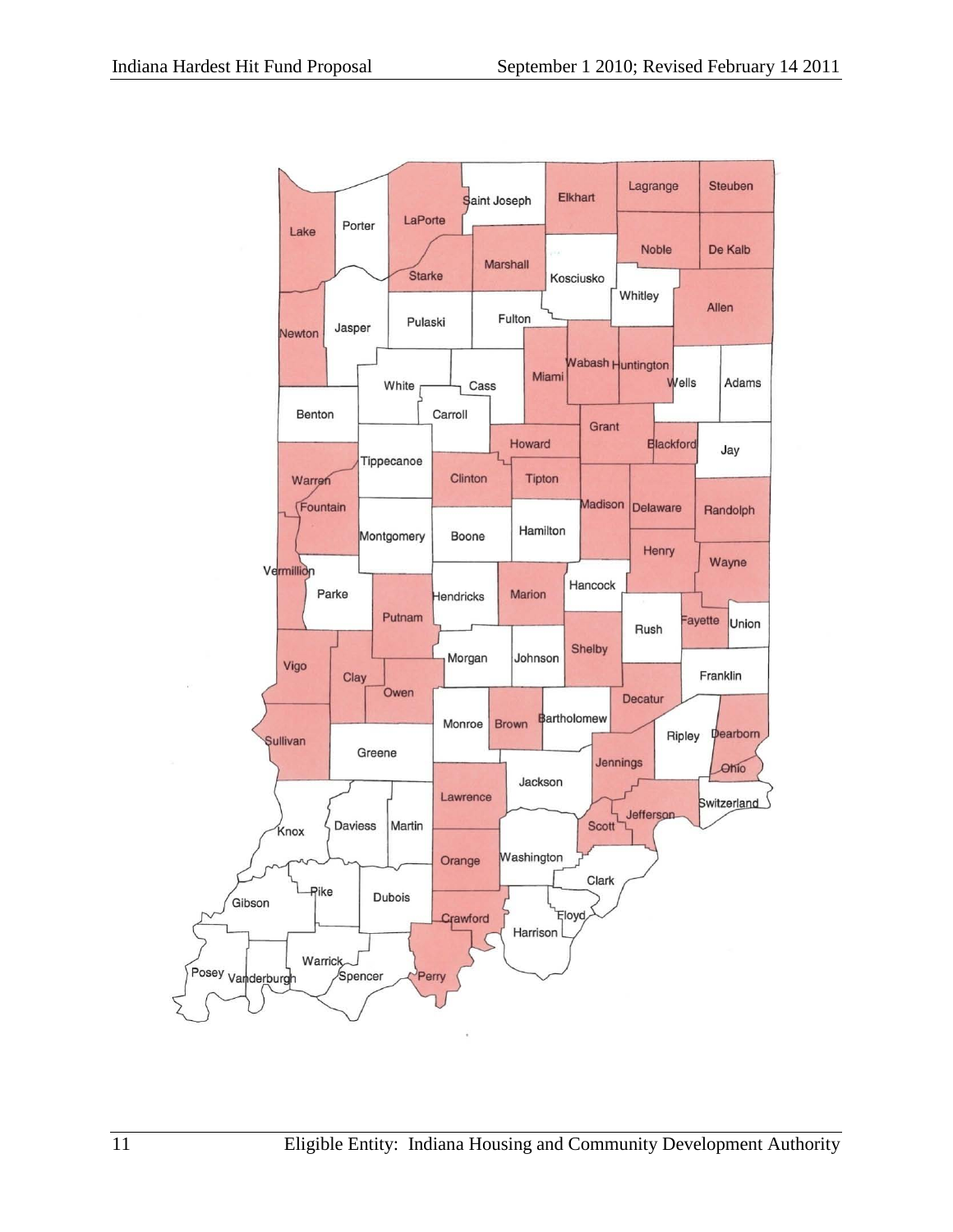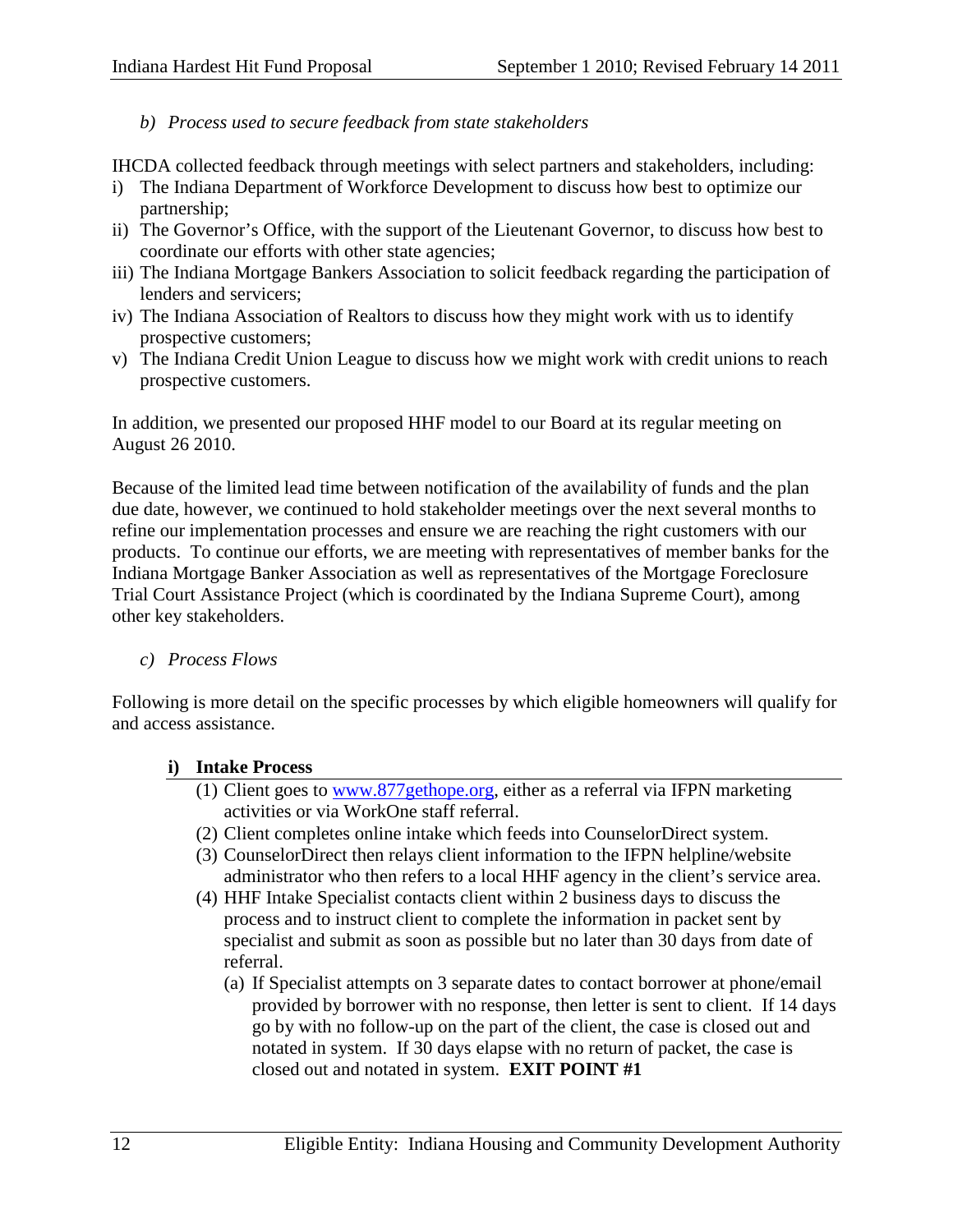## *b) Process used to secure feedback from state stakeholders*

IHCDA collected feedback through meetings with select partners and stakeholders, including:

- i) The Indiana Department of Workforce Development to discuss how best to optimize our partnership;
- ii) The Governor's Office, with the support of the Lieutenant Governor, to discuss how best to coordinate our efforts with other state agencies;
- iii) The Indiana Mortgage Bankers Association to solicit feedback regarding the participation of lenders and servicers;
- iv) The Indiana Association of Realtors to discuss how they might work with us to identify prospective customers;
- v) The Indiana Credit Union League to discuss how we might work with credit unions to reach prospective customers.

In addition, we presented our proposed HHF model to our Board at its regular meeting on August 26 2010.

Because of the limited lead time between notification of the availability of funds and the plan due date, however, we continued to hold stakeholder meetings over the next several months to refine our implementation processes and ensure we are reaching the right customers with our products. To continue our efforts, we are meeting with representatives of member banks for the Indiana Mortgage Banker Association as well as representatives of the Mortgage Foreclosure Trial Court Assistance Project (which is coordinated by the Indiana Supreme Court), among other key stakeholders.

*c) Process Flows*

Following is more detail on the specific processes by which eligible homeowners will qualify for and access assistance.

## **i) Intake Process**

- (1) Client goes to [www.877gethope.org,](http://www.877gethope.org/) either as a referral via IFPN marketing activities or via WorkOne staff referral.
- (2) Client completes online intake which feeds into CounselorDirect system.
- (3) CounselorDirect then relays client information to the IFPN helpline/website administrator who then refers to a local HHF agency in the client's service area.
- (4) HHF Intake Specialist contacts client within 2 business days to discuss the process and to instruct client to complete the information in packet sent by specialist and submit as soon as possible but no later than 30 days from date of referral.
	- (a) If Specialist attempts on 3 separate dates to contact borrower at phone/email provided by borrower with no response, then letter is sent to client. If 14 days go by with no follow-up on the part of the client, the case is closed out and notated in system. If 30 days elapse with no return of packet, the case is closed out and notated in system. **EXIT POINT #1**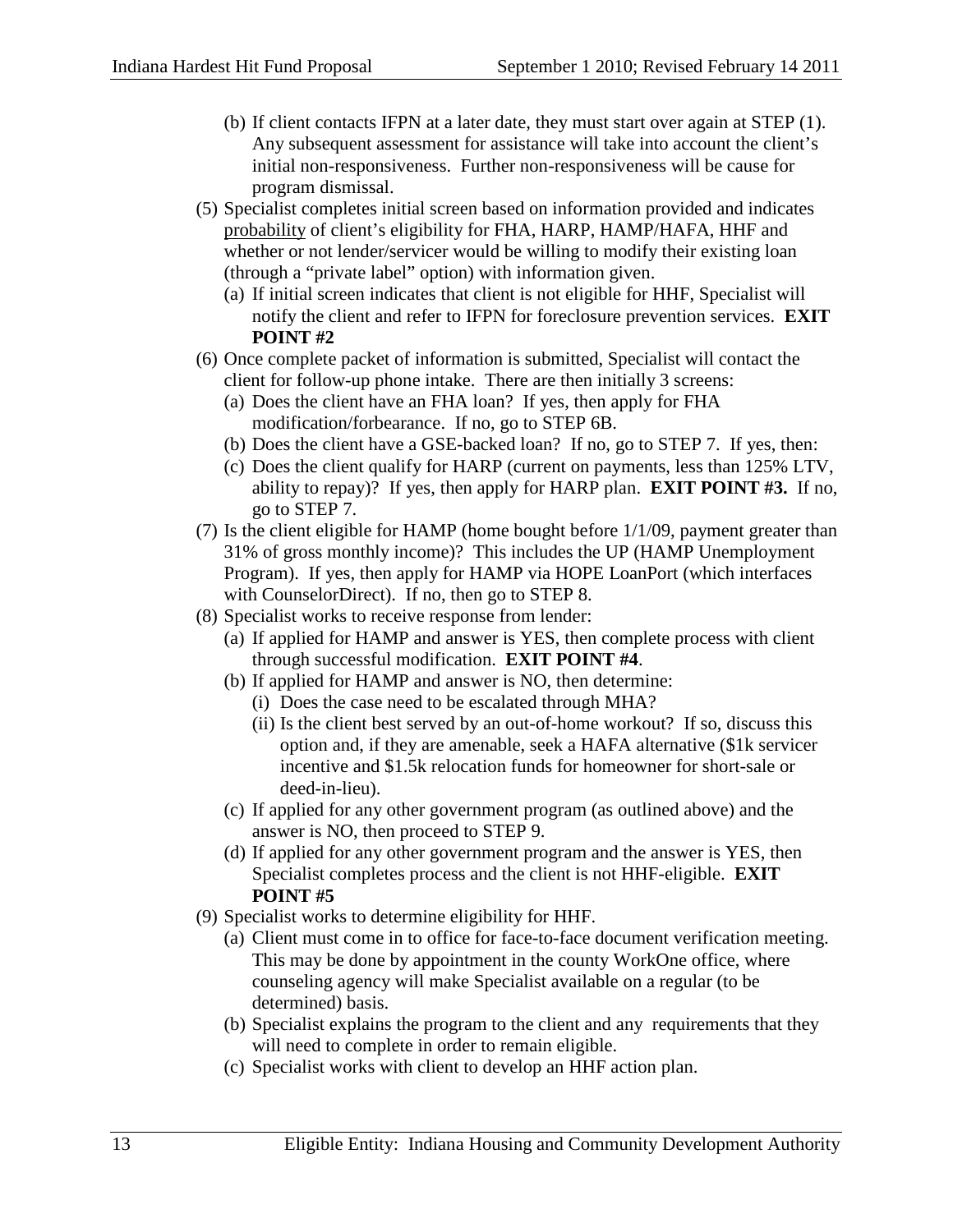- (b) If client contacts IFPN at a later date, they must start over again at STEP (1). Any subsequent assessment for assistance will take into account the client's initial non-responsiveness. Further non-responsiveness will be cause for program dismissal.
- (5) Specialist completes initial screen based on information provided and indicates probability of client's eligibility for FHA, HARP, HAMP/HAFA, HHF and whether or not lender/servicer would be willing to modify their existing loan (through a "private label" option) with information given.
	- (a) If initial screen indicates that client is not eligible for HHF, Specialist will notify the client and refer to IFPN for foreclosure prevention services. **EXIT POINT #2**
- (6) Once complete packet of information is submitted, Specialist will contact the client for follow-up phone intake. There are then initially 3 screens:
	- (a) Does the client have an FHA loan? If yes, then apply for FHA modification/forbearance. If no, go to STEP 6B.
	- (b) Does the client have a GSE-backed loan? If no, go to STEP 7. If yes, then:
	- (c) Does the client qualify for HARP (current on payments, less than 125% LTV, ability to repay)? If yes, then apply for HARP plan. **EXIT POINT #3.** If no, go to STEP 7.
- (7) Is the client eligible for HAMP (home bought before 1/1/09, payment greater than 31% of gross monthly income)? This includes the UP (HAMP Unemployment Program). If yes, then apply for HAMP via HOPE LoanPort (which interfaces with CounselorDirect). If no, then go to STEP 8.
- (8) Specialist works to receive response from lender:
	- (a) If applied for HAMP and answer is YES, then complete process with client through successful modification. **EXIT POINT #4**.
	- (b) If applied for HAMP and answer is NO, then determine:
		- (i) Does the case need to be escalated through MHA?
		- (ii) Is the client best served by an out-of-home workout? If so, discuss this option and, if they are amenable, seek a HAFA alternative (\$1k servicer incentive and \$1.5k relocation funds for homeowner for short-sale or deed-in-lieu).
	- (c) If applied for any other government program (as outlined above) and the answer is NO, then proceed to STEP 9.
	- (d) If applied for any other government program and the answer is YES, then Specialist completes process and the client is not HHF-eligible. **EXIT POINT #5**
- (9) Specialist works to determine eligibility for HHF.
	- (a) Client must come in to office for face-to-face document verification meeting. This may be done by appointment in the county WorkOne office, where counseling agency will make Specialist available on a regular (to be determined) basis.
	- (b) Specialist explains the program to the client and any requirements that they will need to complete in order to remain eligible.
	- (c) Specialist works with client to develop an HHF action plan.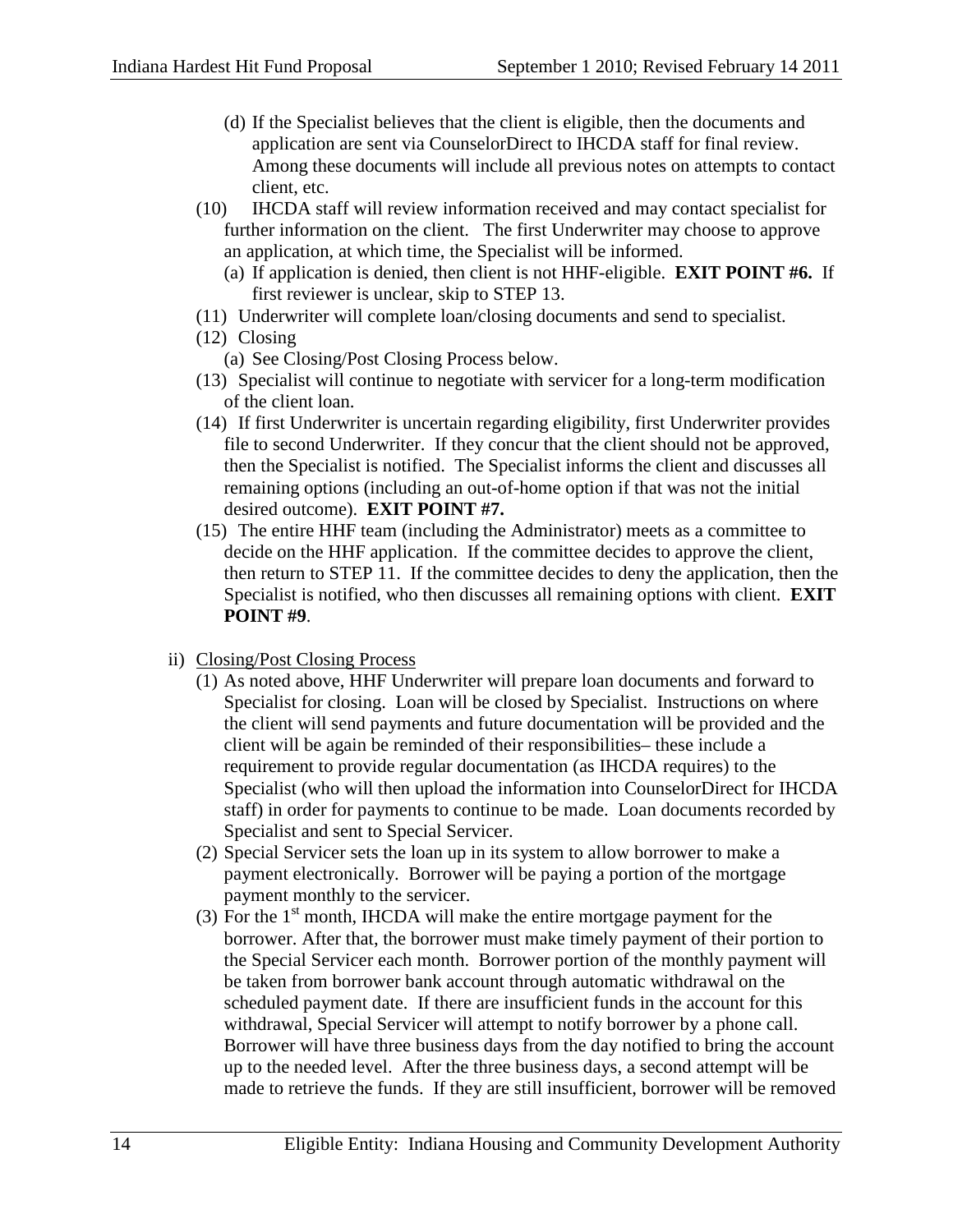- (d) If the Specialist believes that the client is eligible, then the documents and application are sent via CounselorDirect to IHCDA staff for final review. Among these documents will include all previous notes on attempts to contact client, etc.
- (10) IHCDA staff will review information received and may contact specialist for further information on the client. The first Underwriter may choose to approve an application, at which time, the Specialist will be informed.
	- (a) If application is denied, then client is not HHF-eligible. **EXIT POINT #6.** If first reviewer is unclear, skip to STEP 13.
- (11) Underwriter will complete loan/closing documents and send to specialist.
- (12) Closing
	- (a) See Closing/Post Closing Process below.
- (13) Specialist will continue to negotiate with servicer for a long-term modification of the client loan.
- (14) If first Underwriter is uncertain regarding eligibility, first Underwriter provides file to second Underwriter. If they concur that the client should not be approved, then the Specialist is notified. The Specialist informs the client and discusses all remaining options (including an out-of-home option if that was not the initial desired outcome). **EXIT POINT #7.**
- (15) The entire HHF team (including the Administrator) meets as a committee to decide on the HHF application. If the committee decides to approve the client, then return to STEP 11. If the committee decides to deny the application, then the Specialist is notified, who then discusses all remaining options with client. **EXIT POINT #9**.
- ii) Closing/Post Closing Process
	- (1) As noted above, HHF Underwriter will prepare loan documents and forward to Specialist for closing. Loan will be closed by Specialist. Instructions on where the client will send payments and future documentation will be provided and the client will be again be reminded of their responsibilities– these include a requirement to provide regular documentation (as IHCDA requires) to the Specialist (who will then upload the information into CounselorDirect for IHCDA staff) in order for payments to continue to be made. Loan documents recorded by Specialist and sent to Special Servicer.
	- (2) Special Servicer sets the loan up in its system to allow borrower to make a payment electronically. Borrower will be paying a portion of the mortgage payment monthly to the servicer.
	- (3) For the  $1<sup>st</sup>$  month, IHCDA will make the entire mortgage payment for the borrower. After that, the borrower must make timely payment of their portion to the Special Servicer each month. Borrower portion of the monthly payment will be taken from borrower bank account through automatic withdrawal on the scheduled payment date. If there are insufficient funds in the account for this withdrawal, Special Servicer will attempt to notify borrower by a phone call. Borrower will have three business days from the day notified to bring the account up to the needed level. After the three business days, a second attempt will be made to retrieve the funds. If they are still insufficient, borrower will be removed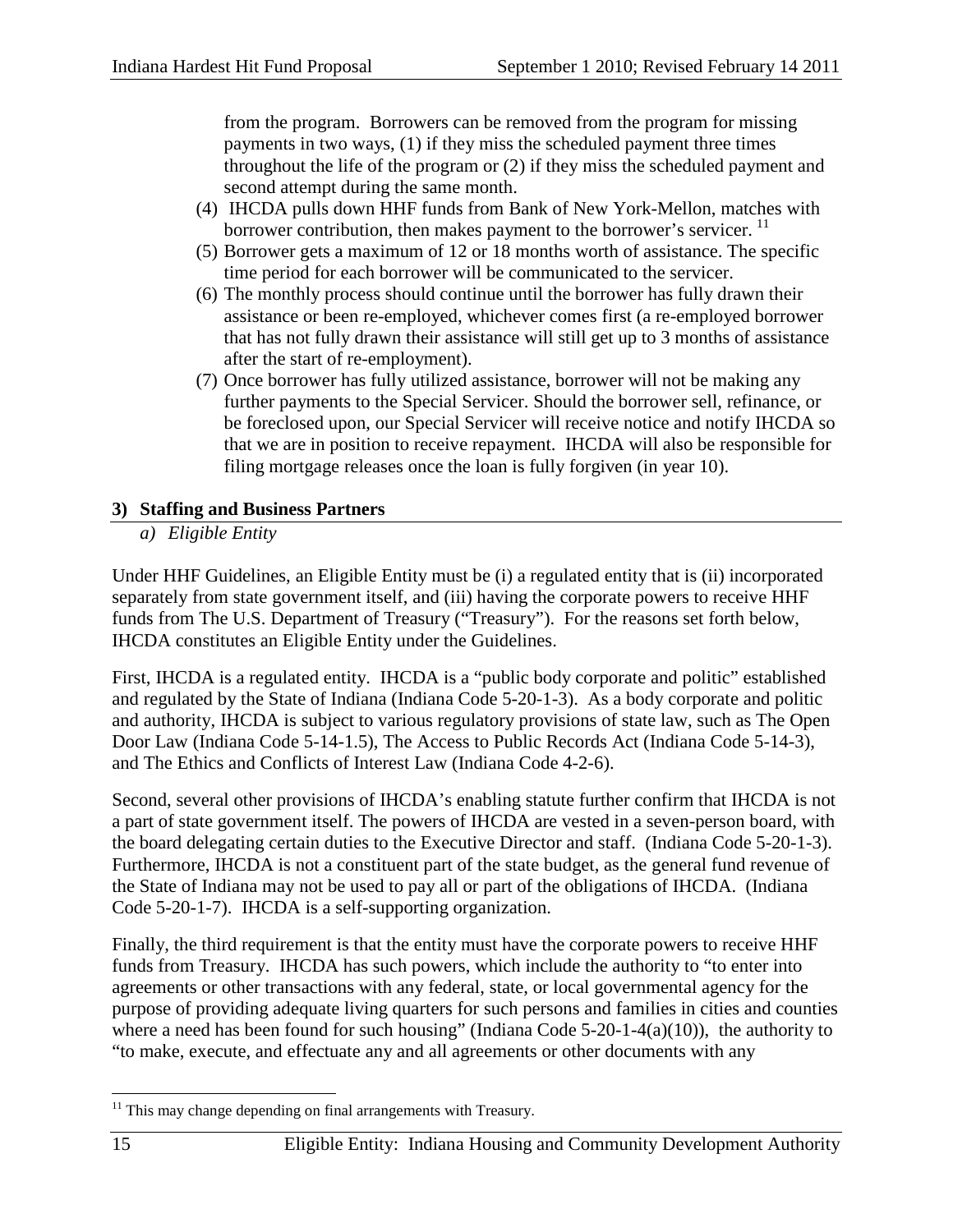from the program. Borrowers can be removed from the program for missing payments in two ways, (1) if they miss the scheduled payment three times throughout the life of the program or (2) if they miss the scheduled payment and second attempt during the same month.

- (4) IHCDA pulls down HHF funds from Bank of New York-Mellon, matches with borrower contribution, then makes payment to the borrower's servicer. <sup>[11](#page-14-0)</sup>
- (5) Borrower gets a maximum of 12 or 18 months worth of assistance. The specific time period for each borrower will be communicated to the servicer.
- (6) The monthly process should continue until the borrower has fully drawn their assistance or been re-employed, whichever comes first (a re-employed borrower that has not fully drawn their assistance will still get up to 3 months of assistance after the start of re-employment).
- (7) Once borrower has fully utilized assistance, borrower will not be making any further payments to the Special Servicer. Should the borrower sell, refinance, or be foreclosed upon, our Special Servicer will receive notice and notify IHCDA so that we are in position to receive repayment. IHCDA will also be responsible for filing mortgage releases once the loan is fully forgiven (in year 10).

# **3) Staffing and Business Partners**

*a) Eligible Entity*

Under HHF Guidelines, an Eligible Entity must be (i) a regulated entity that is (ii) incorporated separately from state government itself, and (iii) having the corporate powers to receive HHF funds from The U.S. Department of Treasury ("Treasury"). For the reasons set forth below, IHCDA constitutes an Eligible Entity under the Guidelines.

First, IHCDA is a regulated entity. IHCDA is a "public body corporate and politic" established and regulated by the State of Indiana (Indiana Code 5-20-1-3). As a body corporate and politic and authority, IHCDA is subject to various regulatory provisions of state law, such as The Open Door Law (Indiana Code 5-14-1.5), The Access to Public Records Act (Indiana Code 5-14-3), and The Ethics and Conflicts of Interest Law (Indiana Code 4-2-6).

Second, several other provisions of IHCDA's enabling statute further confirm that IHCDA is not a part of state government itself. The powers of IHCDA are vested in a seven-person board, with the board delegating certain duties to the Executive Director and staff. (Indiana Code 5-20-1-3). Furthermore, IHCDA is not a constituent part of the state budget, as the general fund revenue of the State of Indiana may not be used to pay all or part of the obligations of IHCDA. (Indiana Code 5-20-1-7). IHCDA is a self-supporting organization.

Finally, the third requirement is that the entity must have the corporate powers to receive HHF funds from Treasury. IHCDA has such powers, which include the authority to "to enter into agreements or other transactions with any federal, state, or local governmental agency for the purpose of providing adequate living quarters for such persons and families in cities and counties where a need has been found for such housing" (Indiana Code  $5-20-1-4(a)(10)$ ), the authority to "to make, execute, and effectuate any and all agreements or other documents with any

<span id="page-14-0"></span> $11$  This may change depending on final arrangements with Treasury.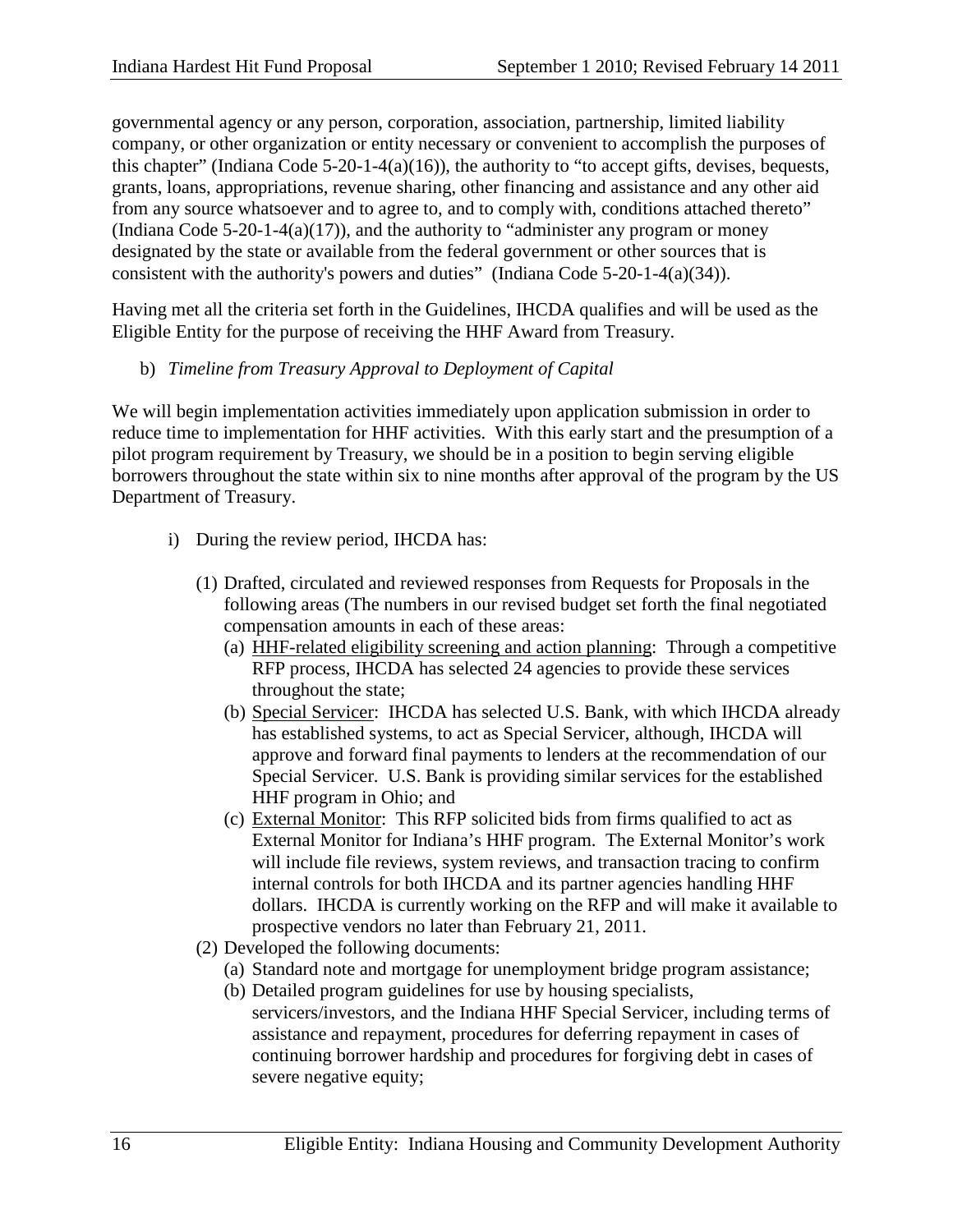governmental agency or any person, corporation, association, partnership, limited liability company, or other organization or entity necessary or convenient to accomplish the purposes of this chapter" (Indiana Code 5-20-1-4(a)(16)), the authority to "to accept gifts, devises, bequests, grants, loans, appropriations, revenue sharing, other financing and assistance and any other aid from any source whatsoever and to agree to, and to comply with, conditions attached thereto" (Indiana Code  $5-20-1-4(a)(17)$ ), and the authority to "administer any program or money designated by the state or available from the federal government or other sources that is consistent with the authority's powers and duties" (Indiana Code 5-20-1-4(a)(34)).

Having met all the criteria set forth in the Guidelines, IHCDA qualifies and will be used as the Eligible Entity for the purpose of receiving the HHF Award from Treasury.

b) *Timeline from Treasury Approval to Deployment of Capital*

We will begin implementation activities immediately upon application submission in order to reduce time to implementation for HHF activities. With this early start and the presumption of a pilot program requirement by Treasury, we should be in a position to begin serving eligible borrowers throughout the state within six to nine months after approval of the program by the US Department of Treasury.

- i) During the review period, IHCDA has:
	- (1) Drafted, circulated and reviewed responses from Requests for Proposals in the following areas (The numbers in our revised budget set forth the final negotiated compensation amounts in each of these areas:
		- (a) HHF-related eligibility screening and action planning: Through a competitive RFP process, IHCDA has selected 24 agencies to provide these services throughout the state;
		- (b) Special Servicer: IHCDA has selected U.S. Bank, with which IHCDA already has established systems, to act as Special Servicer, although, IHCDA will approve and forward final payments to lenders at the recommendation of our Special Servicer. U.S. Bank is providing similar services for the established HHF program in Ohio; and
		- (c) External Monitor: This RFP solicited bids from firms qualified to act as External Monitor for Indiana's HHF program. The External Monitor's work will include file reviews, system reviews, and transaction tracing to confirm internal controls for both IHCDA and its partner agencies handling HHF dollars. IHCDA is currently working on the RFP and will make it available to prospective vendors no later than February 21, 2011.
	- (2) Developed the following documents:
		- (a) Standard note and mortgage for unemployment bridge program assistance;
		- (b) Detailed program guidelines for use by housing specialists, servicers/investors, and the Indiana HHF Special Servicer, including terms of assistance and repayment, procedures for deferring repayment in cases of continuing borrower hardship and procedures for forgiving debt in cases of severe negative equity;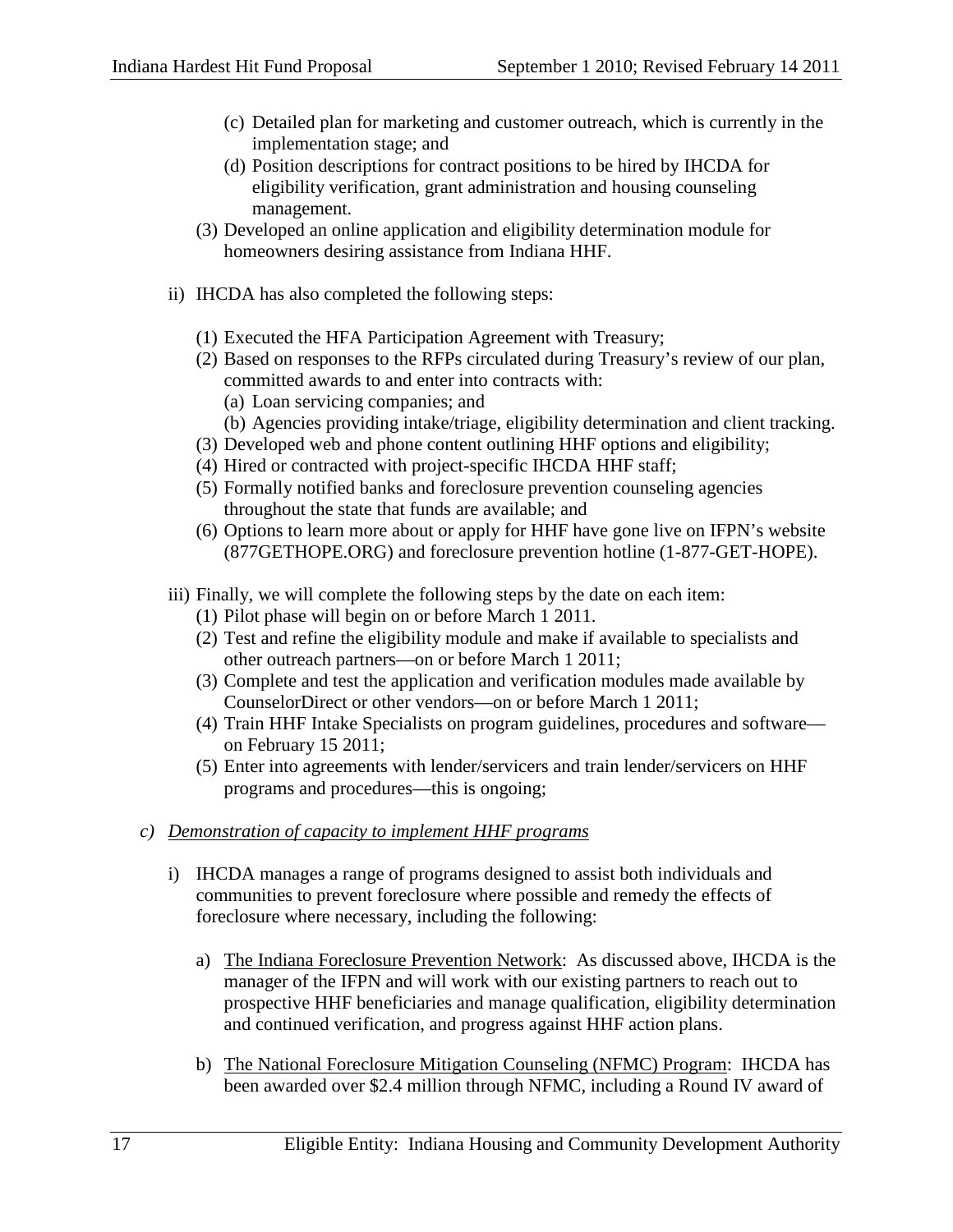- (c) Detailed plan for marketing and customer outreach, which is currently in the implementation stage; and
- (d) Position descriptions for contract positions to be hired by IHCDA for eligibility verification, grant administration and housing counseling management.
- (3) Developed an online application and eligibility determination module for homeowners desiring assistance from Indiana HHF.
- ii) IHCDA has also completed the following steps:
	- (1) Executed the HFA Participation Agreement with Treasury;
	- (2) Based on responses to the RFPs circulated during Treasury's review of our plan, committed awards to and enter into contracts with:
		- (a) Loan servicing companies; and
		- (b) Agencies providing intake/triage, eligibility determination and client tracking.
	- (3) Developed web and phone content outlining HHF options and eligibility;
	- (4) Hired or contracted with project-specific IHCDA HHF staff;
	- (5) Formally notified banks and foreclosure prevention counseling agencies throughout the state that funds are available; and
	- (6) Options to learn more about or apply for HHF have gone live on IFPN's website (877GETHOPE.ORG) and foreclosure prevention hotline (1-877-GET-HOPE).
- iii) Finally, we will complete the following steps by the date on each item:
	- (1) Pilot phase will begin on or before March 1 2011.
	- (2) Test and refine the eligibility module and make if available to specialists and other outreach partners—on or before March 1 2011;
	- (3) Complete and test the application and verification modules made available by CounselorDirect or other vendors—on or before March 1 2011;
	- (4) Train HHF Intake Specialists on program guidelines, procedures and software on February 15 2011;
	- (5) Enter into agreements with lender/servicers and train lender/servicers on HHF programs and procedures—this is ongoing;
- *c) Demonstration of capacity to implement HHF programs*
	- i) IHCDA manages a range of programs designed to assist both individuals and communities to prevent foreclosure where possible and remedy the effects of foreclosure where necessary, including the following:
		- a) The Indiana Foreclosure Prevention Network: As discussed above, IHCDA is the manager of the IFPN and will work with our existing partners to reach out to prospective HHF beneficiaries and manage qualification, eligibility determination and continued verification, and progress against HHF action plans.
		- b) The National Foreclosure Mitigation Counseling (NFMC) Program: IHCDA has been awarded over \$2.4 million through NFMC, including a Round IV award of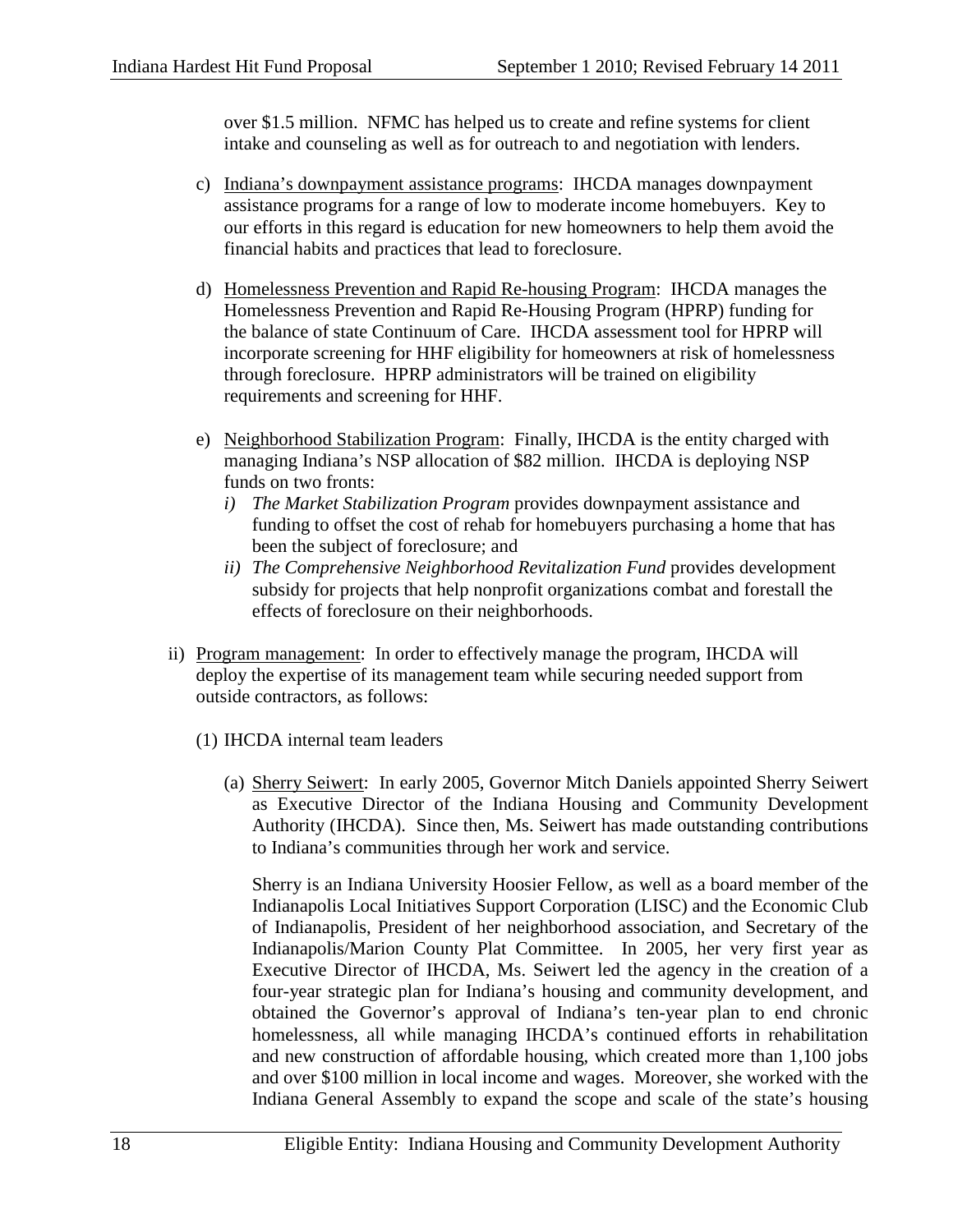over \$1.5 million. NFMC has helped us to create and refine systems for client intake and counseling as well as for outreach to and negotiation with lenders.

- c) Indiana's downpayment assistance programs: IHCDA manages downpayment assistance programs for a range of low to moderate income homebuyers. Key to our efforts in this regard is education for new homeowners to help them avoid the financial habits and practices that lead to foreclosure.
- d) Homelessness Prevention and Rapid Re-housing Program: IHCDA manages the Homelessness Prevention and Rapid Re-Housing Program (HPRP) funding for the balance of state Continuum of Care. IHCDA assessment tool for HPRP will incorporate screening for HHF eligibility for homeowners at risk of homelessness through foreclosure. HPRP administrators will be trained on eligibility requirements and screening for HHF.
- e) Neighborhood Stabilization Program: Finally, IHCDA is the entity charged with managing Indiana's NSP allocation of \$82 million. IHCDA is deploying NSP funds on two fronts:
	- *i) The Market Stabilization Program* provides downpayment assistance and funding to offset the cost of rehab for homebuyers purchasing a home that has been the subject of foreclosure; and
	- *ii) The Comprehensive Neighborhood Revitalization Fund* provides development subsidy for projects that help nonprofit organizations combat and forestall the effects of foreclosure on their neighborhoods.
- ii) Program management: In order to effectively manage the program, IHCDA will deploy the expertise of its management team while securing needed support from outside contractors, as follows:
	- (1) IHCDA internal team leaders
		- (a) Sherry Seiwert: In early 2005, Governor Mitch Daniels appointed Sherry Seiwert as Executive Director of the Indiana Housing and Community Development Authority (IHCDA). Since then, Ms. Seiwert has made outstanding contributions to Indiana's communities through her work and service.

Sherry is an Indiana University Hoosier Fellow, as well as a board member of the Indianapolis Local Initiatives Support Corporation (LISC) and the Economic Club of Indianapolis, President of her neighborhood association, and Secretary of the Indianapolis/Marion County Plat Committee. In 2005, her very first year as Executive Director of IHCDA, Ms. Seiwert led the agency in the creation of a four-year strategic plan for Indiana's housing and community development, and obtained the Governor's approval of Indiana's ten-year plan to end chronic homelessness, all while managing IHCDA's continued efforts in rehabilitation and new construction of affordable housing, which created more than 1,100 jobs and over \$100 million in local income and wages. Moreover, she worked with the Indiana General Assembly to expand the scope and scale of the state's housing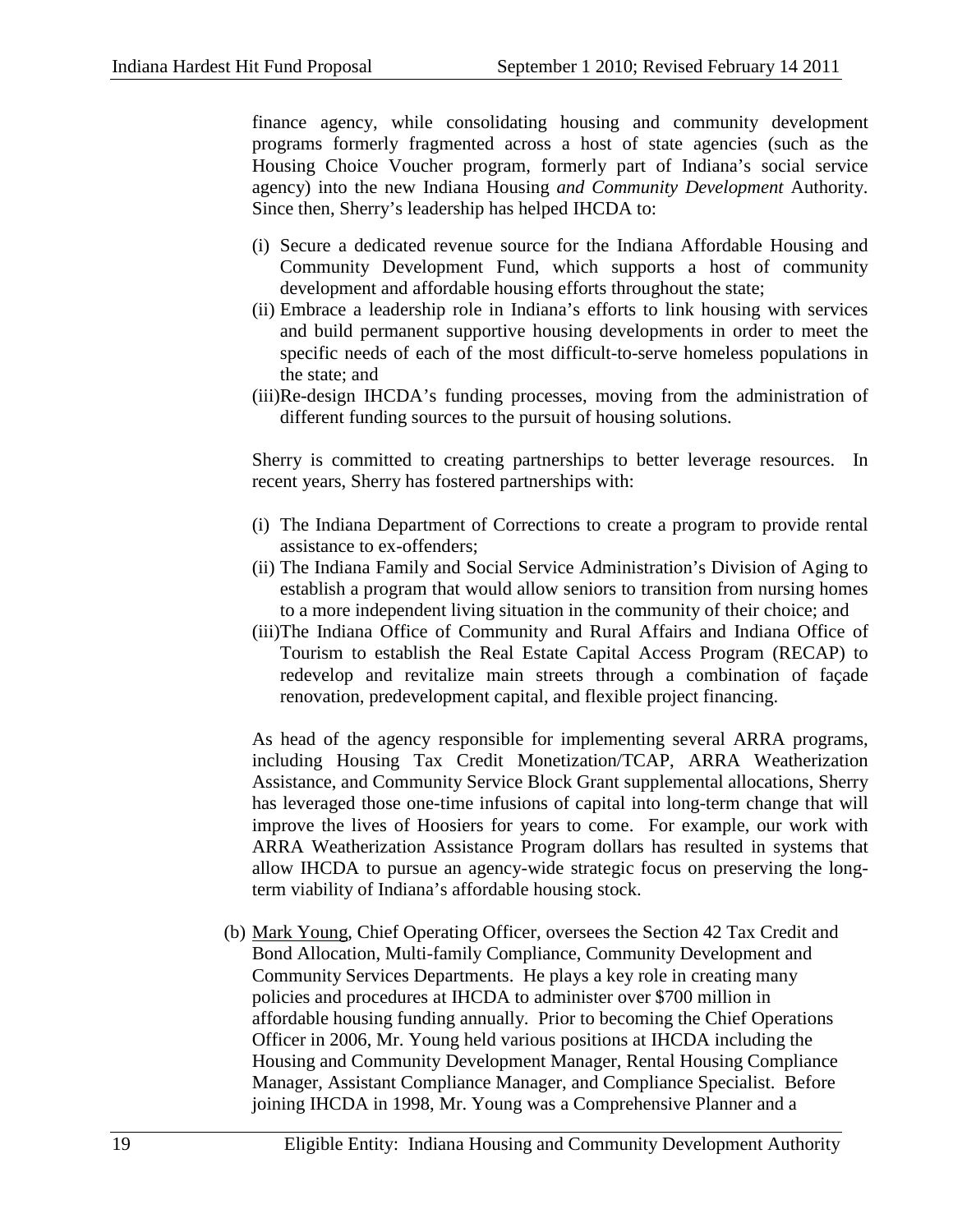finance agency, while consolidating housing and community development programs formerly fragmented across a host of state agencies (such as the Housing Choice Voucher program, formerly part of Indiana's social service agency) into the new Indiana Housing *and Community Development* Authority. Since then, Sherry's leadership has helped IHCDA to:

- (i) Secure a dedicated revenue source for the Indiana Affordable Housing and Community Development Fund, which supports a host of community development and affordable housing efforts throughout the state;
- (ii) Embrace a leadership role in Indiana's efforts to link housing with services and build permanent supportive housing developments in order to meet the specific needs of each of the most difficult-to-serve homeless populations in the state; and
- (iii)Re-design IHCDA's funding processes, moving from the administration of different funding sources to the pursuit of housing solutions.

Sherry is committed to creating partnerships to better leverage resources. In recent years, Sherry has fostered partnerships with:

- (i) The Indiana Department of Corrections to create a program to provide rental assistance to ex-offenders;
- (ii) The Indiana Family and Social Service Administration's Division of Aging to establish a program that would allow seniors to transition from nursing homes to a more independent living situation in the community of their choice; and
- (iii)The Indiana Office of Community and Rural Affairs and Indiana Office of Tourism to establish the Real Estate Capital Access Program (RECAP) to redevelop and revitalize main streets through a combination of façade renovation, predevelopment capital, and flexible project financing.

As head of the agency responsible for implementing several ARRA programs, including Housing Tax Credit Monetization/TCAP, ARRA Weatherization Assistance, and Community Service Block Grant supplemental allocations, Sherry has leveraged those one-time infusions of capital into long-term change that will improve the lives of Hoosiers for years to come. For example, our work with ARRA Weatherization Assistance Program dollars has resulted in systems that allow IHCDA to pursue an agency-wide strategic focus on preserving the longterm viability of Indiana's affordable housing stock.

(b) Mark Young, Chief Operating Officer, oversees the Section 42 Tax Credit and Bond Allocation, Multi-family Compliance, Community Development and Community Services Departments. He plays a key role in creating many policies and procedures at IHCDA to administer over \$700 million in affordable housing funding annually. Prior to becoming the Chief Operations Officer in 2006, Mr. Young held various positions at IHCDA including the Housing and Community Development Manager, Rental Housing Compliance Manager, Assistant Compliance Manager, and Compliance Specialist. Before joining IHCDA in 1998, Mr. Young was a Comprehensive Planner and a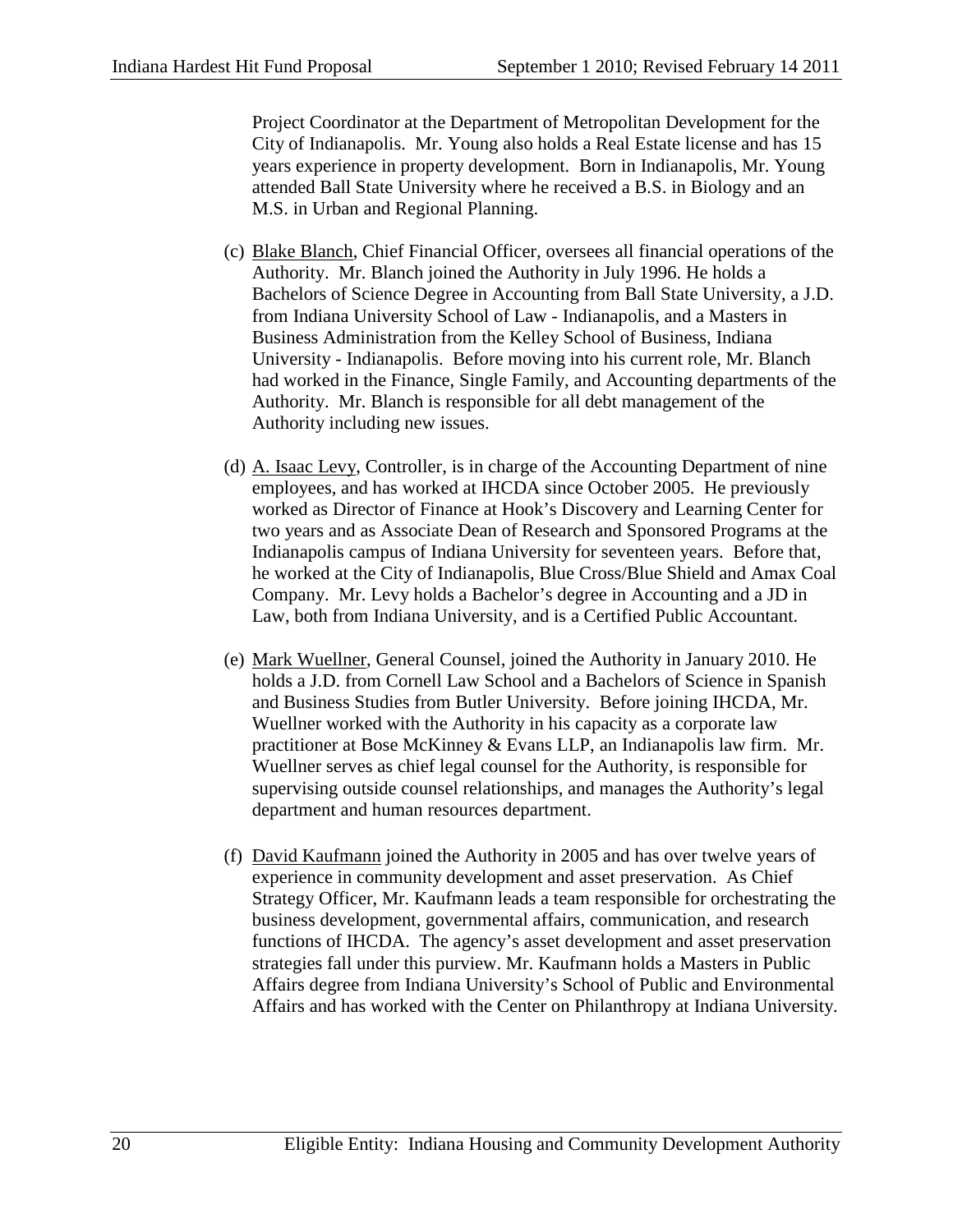Project Coordinator at the Department of Metropolitan Development for the City of Indianapolis. Mr. Young also holds a Real Estate license and has 15 years experience in property development. Born in Indianapolis, Mr. Young attended Ball State University where he received a B.S. in Biology and an M.S. in Urban and Regional Planning.

- (c) Blake Blanch, Chief Financial Officer, oversees all financial operations of the Authority. Mr. Blanch joined the Authority in July 1996. He holds a Bachelors of Science Degree in Accounting from Ball State University, a J.D. from Indiana University School of Law - Indianapolis, and a Masters in Business Administration from the Kelley School of Business, Indiana University - Indianapolis. Before moving into his current role, Mr. Blanch had worked in the Finance, Single Family, and Accounting departments of the Authority. Mr. Blanch is responsible for all debt management of the Authority including new issues.
- (d) A. Isaac Levy, Controller, is in charge of the Accounting Department of nine employees, and has worked at IHCDA since October 2005. He previously worked as Director of Finance at Hook's Discovery and Learning Center for two years and as Associate Dean of Research and Sponsored Programs at the Indianapolis campus of Indiana University for seventeen years. Before that, he worked at the City of Indianapolis, Blue Cross/Blue Shield and Amax Coal Company. Mr. Levy holds a Bachelor's degree in Accounting and a JD in Law, both from Indiana University, and is a Certified Public Accountant.
- (e) Mark Wuellner, General Counsel, joined the Authority in January 2010. He holds a J.D. from Cornell Law School and a Bachelors of Science in Spanish and Business Studies from Butler University. Before joining IHCDA, Mr. Wuellner worked with the Authority in his capacity as a corporate law practitioner at Bose McKinney & Evans LLP, an Indianapolis law firm. Mr. Wuellner serves as chief legal counsel for the Authority, is responsible for supervising outside counsel relationships, and manages the Authority's legal department and human resources department.
- (f) David Kaufmann joined the Authority in 2005 and has over twelve years of experience in community development and asset preservation. As Chief Strategy Officer, Mr. Kaufmann leads a team responsible for orchestrating the business development, governmental affairs, communication, and research functions of IHCDA. The agency's asset development and asset preservation strategies fall under this purview. Mr. Kaufmann holds a Masters in Public Affairs degree from Indiana University's School of Public and Environmental Affairs and has worked with the Center on Philanthropy at Indiana University.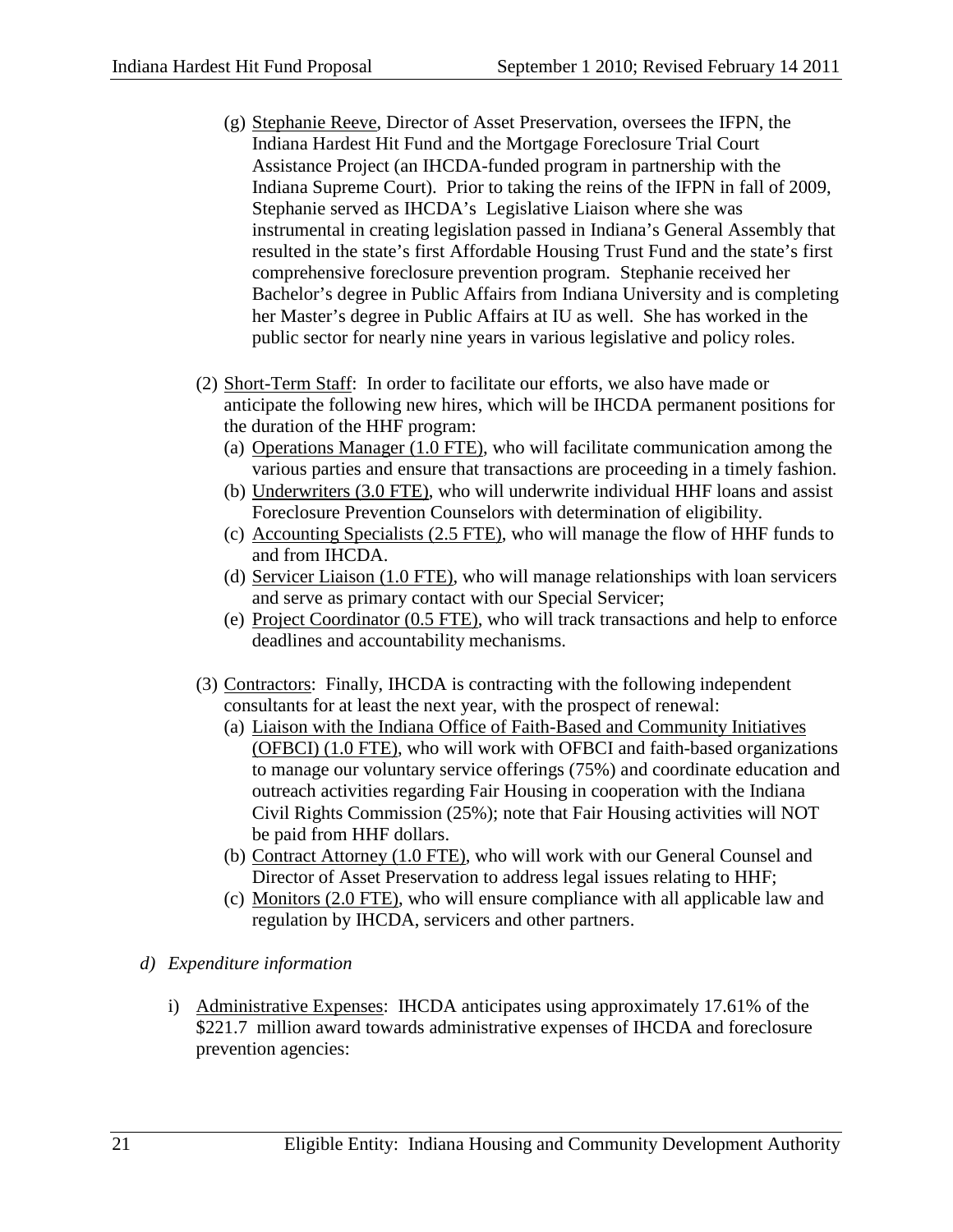- (g) Stephanie Reeve, Director of Asset Preservation, oversees the IFPN, the Indiana Hardest Hit Fund and the Mortgage Foreclosure Trial Court Assistance Project (an IHCDA-funded program in partnership with the Indiana Supreme Court). Prior to taking the reins of the IFPN in fall of 2009, Stephanie served as IHCDA's Legislative Liaison where she was instrumental in creating legislation passed in Indiana's General Assembly that resulted in the state's first Affordable Housing Trust Fund and the state's first comprehensive foreclosure prevention program. Stephanie received her Bachelor's degree in Public Affairs from Indiana University and is completing her Master's degree in Public Affairs at IU as well. She has worked in the public sector for nearly nine years in various legislative and policy roles.
- (2) Short-Term Staff: In order to facilitate our efforts, we also have made or anticipate the following new hires, which will be IHCDA permanent positions for the duration of the HHF program:
	- (a) Operations Manager (1.0 FTE), who will facilitate communication among the various parties and ensure that transactions are proceeding in a timely fashion.
	- (b) Underwriters (3.0 FTE), who will underwrite individual HHF loans and assist Foreclosure Prevention Counselors with determination of eligibility.
	- (c) Accounting Specialists (2.5 FTE), who will manage the flow of HHF funds to and from IHCDA.
	- (d) Servicer Liaison (1.0 FTE), who will manage relationships with loan servicers and serve as primary contact with our Special Servicer;
	- (e) Project Coordinator (0.5 FTE), who will track transactions and help to enforce deadlines and accountability mechanisms.
- (3) Contractors: Finally, IHCDA is contracting with the following independent consultants for at least the next year, with the prospect of renewal:
	- (a) Liaison with the Indiana Office of Faith-Based and Community Initiatives (OFBCI) (1.0 FTE), who will work with OFBCI and faith-based organizations to manage our voluntary service offerings (75%) and coordinate education and outreach activities regarding Fair Housing in cooperation with the Indiana Civil Rights Commission (25%); note that Fair Housing activities will NOT be paid from HHF dollars.
	- (b) Contract Attorney (1.0 FTE), who will work with our General Counsel and Director of Asset Preservation to address legal issues relating to HHF;
	- (c) Monitors (2.0 FTE), who will ensure compliance with all applicable law and regulation by IHCDA, servicers and other partners.

## *d) Expenditure information*

i) Administrative Expenses: IHCDA anticipates using approximately 17.61% of the \$221.7 million award towards administrative expenses of IHCDA and foreclosure prevention agencies: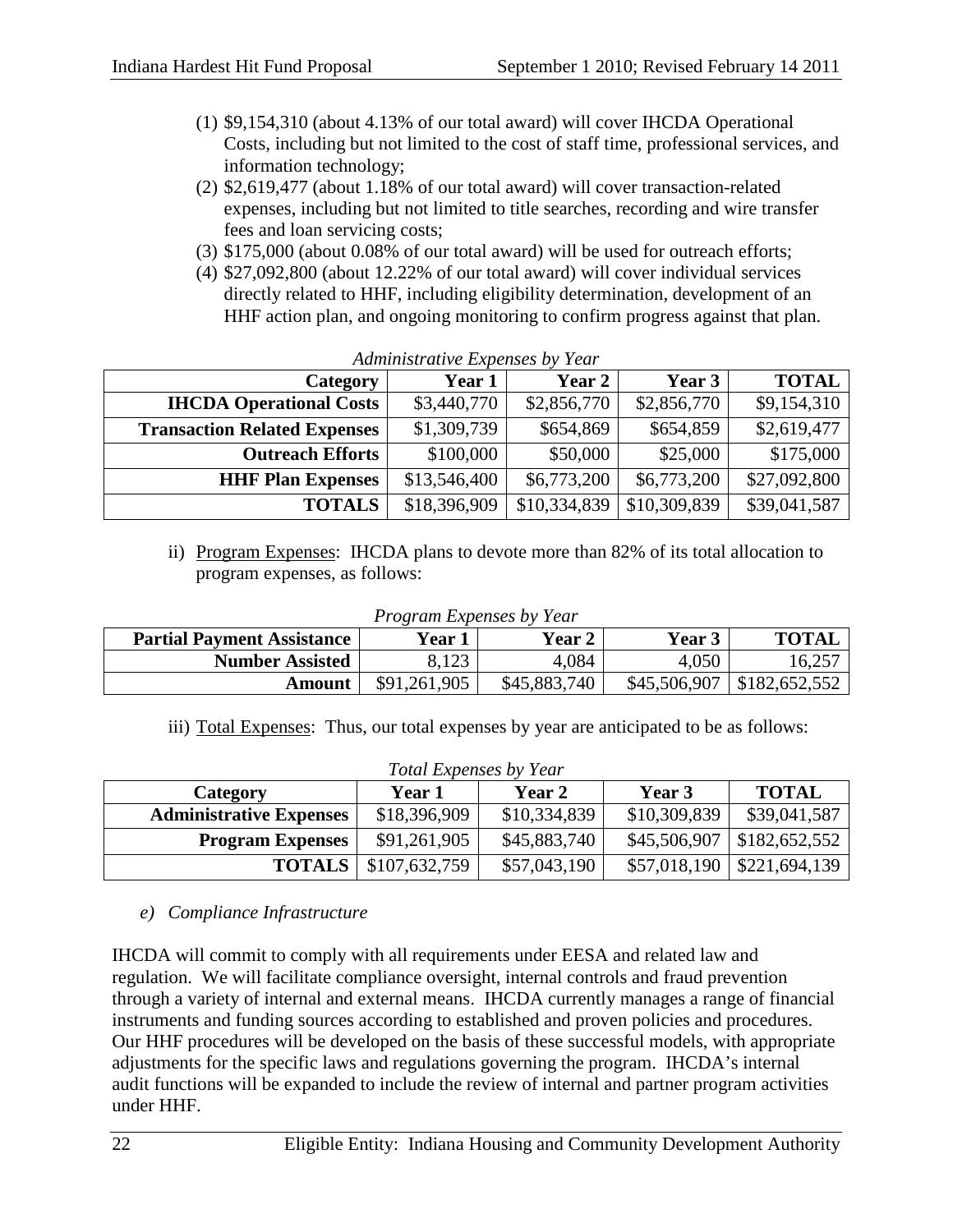- (1) \$9,154,310 (about 4.13% of our total award) will cover IHCDA Operational Costs, including but not limited to the cost of staff time, professional services, and information technology;
- (2) \$2,619,477 (about 1.18% of our total award) will cover transaction-related expenses, including but not limited to title searches, recording and wire transfer fees and loan servicing costs;
- (3) \$175,000 (about 0.08% of our total award) will be used for outreach efforts;
- (4) \$27,092,800 (about 12.22% of our total award) will cover individual services directly related to HHF, including eligibility determination, development of an HHF action plan, and ongoing monitoring to confirm progress against that plan.

| Category                            | Year 1       | Year 2       | Year 3       | <b>TOTAL</b> |
|-------------------------------------|--------------|--------------|--------------|--------------|
| <b>IHCDA Operational Costs</b>      | \$3,440,770  | \$2,856,770  | \$2,856,770  | \$9,154,310  |
| <b>Transaction Related Expenses</b> | \$1,309,739  | \$654,869    | \$654,859    | \$2,619,477  |
| <b>Outreach Efforts</b>             | \$100,000    | \$50,000     | \$25,000     | \$175,000    |
| <b>HHF Plan Expenses</b>            | \$13,546,400 | \$6,773,200  | \$6,773,200  | \$27,092,800 |
| <b>TOTALS</b>                       | \$18,396,909 | \$10,334,839 | \$10,309,839 | \$39,041,587 |

|  |  | Administrative Expenses by Year |  |  |
|--|--|---------------------------------|--|--|
|  |  |                                 |  |  |

ii) Program Expenses: IHCDA plans to devote more than 82% of its total allocation to program expenses, as follows:

| <b>Partial Payment Assistance</b> | Year 1       | Year 2       | Year 3       | <b>TOTAL</b>  |
|-----------------------------------|--------------|--------------|--------------|---------------|
| <b>Number Assisted</b>            |              | 4,084        | 4,050        | 16,257        |
| Amount                            | \$91,261,905 | \$45,883,740 | \$45,506,907 | \$182,652,552 |

*Program Expenses by Year*

iii) Total Expenses: Thus, our total expenses by year are anticipated to be as follows:

| <b>Total Expenses by Year</b>                                        |               |              |              |                         |  |
|----------------------------------------------------------------------|---------------|--------------|--------------|-------------------------|--|
| <b>TOTAL</b><br><b>Year 2</b><br>Year 3<br><b>Year 1</b><br>Category |               |              |              |                         |  |
| <b>Administrative Expenses</b>                                       | \$18,396,909  | \$10,334,839 | \$10,309,839 | \$39,041,587            |  |
| <b>Program Expenses</b>                                              | \$91,261,905  | \$45,883,740 | \$45,506,907 | $\frac{$182,652,552}{}$ |  |
| <b>TOTALS</b>                                                        | \$107,632,759 | \$57,043,190 | \$57,018,190 | $\frac{$221,694,139}{}$ |  |

# *e) Compliance Infrastructure*

IHCDA will commit to comply with all requirements under EESA and related law and regulation. We will facilitate compliance oversight, internal controls and fraud prevention through a variety of internal and external means. IHCDA currently manages a range of financial instruments and funding sources according to established and proven policies and procedures. Our HHF procedures will be developed on the basis of these successful models, with appropriate adjustments for the specific laws and regulations governing the program. IHCDA's internal audit functions will be expanded to include the review of internal and partner program activities under HHF.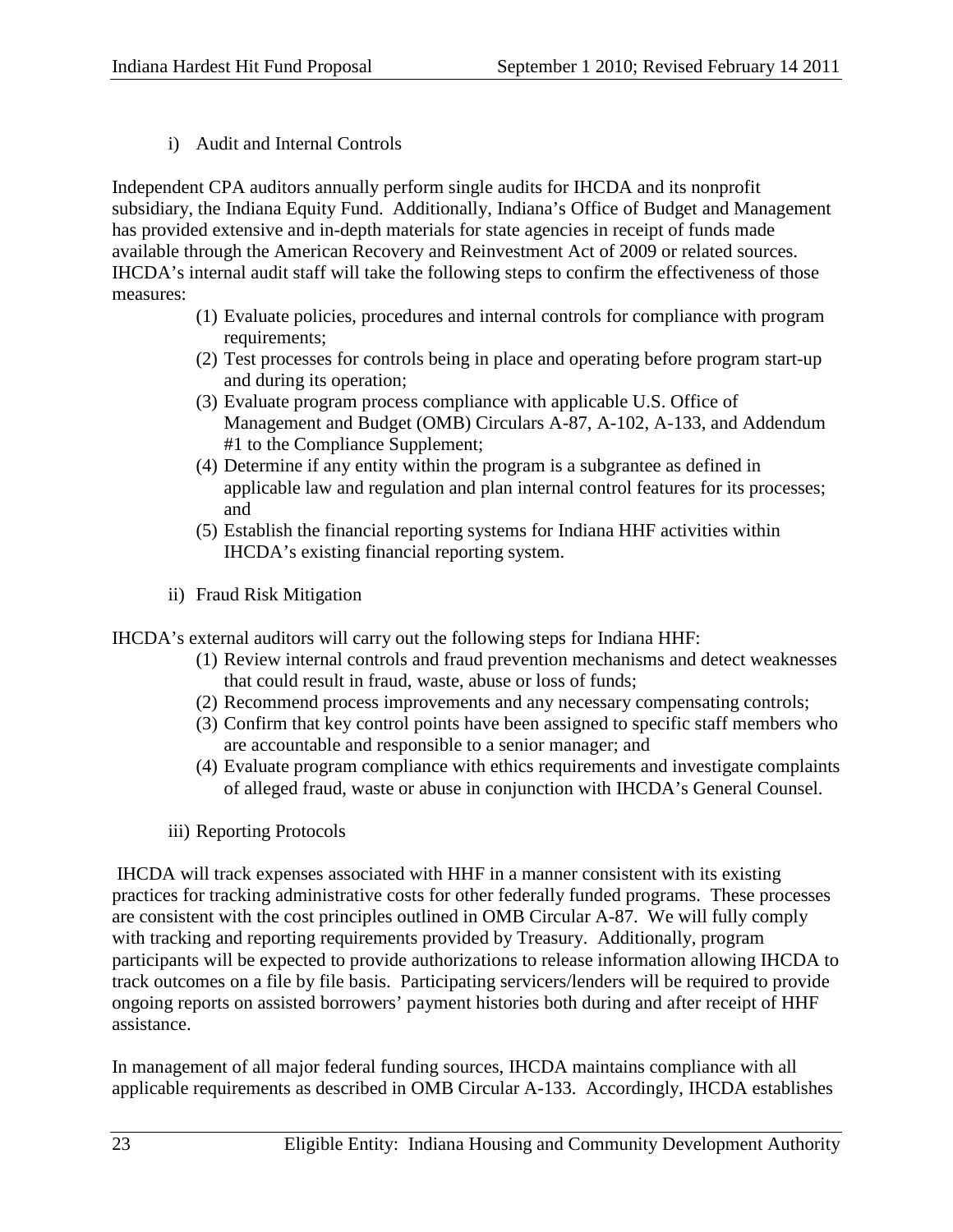i) Audit and Internal Controls

Independent CPA auditors annually perform single audits for IHCDA and its nonprofit subsidiary, the Indiana Equity Fund. Additionally, Indiana's Office of Budget and Management has provided extensive and in-depth materials for state agencies in receipt of funds made available through the American Recovery and Reinvestment Act of 2009 or related sources. IHCDA's internal audit staff will take the following steps to confirm the effectiveness of those measures:

- (1) Evaluate policies, procedures and internal controls for compliance with program requirements;
- (2) Test processes for controls being in place and operating before program start-up and during its operation;
- (3) Evaluate program process compliance with applicable U.S. Office of Management and Budget (OMB) Circulars A-87, A-102, A-133, and Addendum #1 to the Compliance Supplement;
- (4) Determine if any entity within the program is a subgrantee as defined in applicable law and regulation and plan internal control features for its processes; and
- (5) Establish the financial reporting systems for Indiana HHF activities within IHCDA's existing financial reporting system.
- ii) Fraud Risk Mitigation

IHCDA's external auditors will carry out the following steps for Indiana HHF:

- (1) Review internal controls and fraud prevention mechanisms and detect weaknesses that could result in fraud, waste, abuse or loss of funds;
- (2) Recommend process improvements and any necessary compensating controls;
- (3) Confirm that key control points have been assigned to specific staff members who are accountable and responsible to a senior manager; and
- (4) Evaluate program compliance with ethics requirements and investigate complaints of alleged fraud, waste or abuse in conjunction with IHCDA's General Counsel.
- iii) Reporting Protocols

IHCDA will track expenses associated with HHF in a manner consistent with its existing practices for tracking administrative costs for other federally funded programs. These processes are consistent with the cost principles outlined in OMB Circular A-87. We will fully comply with tracking and reporting requirements provided by Treasury. Additionally, program participants will be expected to provide authorizations to release information allowing IHCDA to track outcomes on a file by file basis. Participating servicers/lenders will be required to provide ongoing reports on assisted borrowers' payment histories both during and after receipt of HHF assistance.

In management of all major federal funding sources, IHCDA maintains compliance with all applicable requirements as described in OMB Circular A-133. Accordingly, IHCDA establishes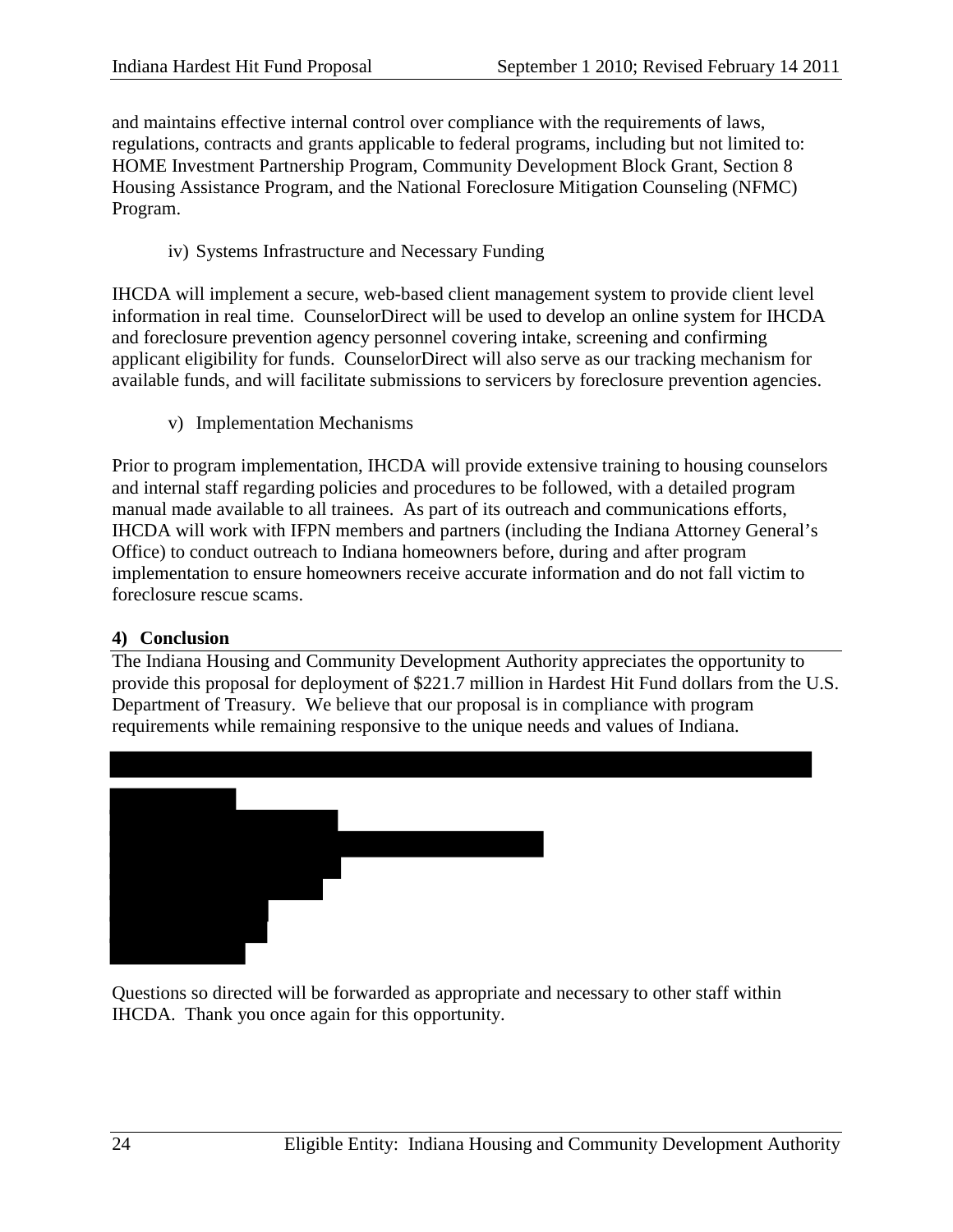and maintains effective internal control over compliance with the requirements of laws, regulations, contracts and grants applicable to federal programs, including but not limited to: HOME Investment Partnership Program, Community Development Block Grant, Section 8 Housing Assistance Program, and the National Foreclosure Mitigation Counseling (NFMC) Program.

iv) Systems Infrastructure and Necessary Funding

IHCDA will implement a secure, web-based client management system to provide client level information in real time. CounselorDirect will be used to develop an online system for IHCDA and foreclosure prevention agency personnel covering intake, screening and confirming applicant eligibility for funds. CounselorDirect will also serve as our tracking mechanism for available funds, and will facilitate submissions to servicers by foreclosure prevention agencies.

v) Implementation Mechanisms

Prior to program implementation, IHCDA will provide extensive training to housing counselors and internal staff regarding policies and procedures to be followed, with a detailed program manual made available to all trainees. As part of its outreach and communications efforts, IHCDA will work with IFPN members and partners (including the Indiana Attorney General's Office) to conduct outreach to Indiana homeowners before, during and after program implementation to ensure homeowners receive accurate information and do not fall victim to foreclosure rescue scams.

## **4) Conclusion**

The Indiana Housing and Community Development Authority appreciates the opportunity to provide this proposal for deployment of \$221.7 million in Hardest Hit Fund dollars from the U.S. Department of Treasury. We believe that our proposal is in compliance with program requirements while remaining responsive to the unique needs and values of Indiana.



Questions so directed will be forwarded as appropriate and necessary to other staff within IHCDA. Thank you once again for this opportunity.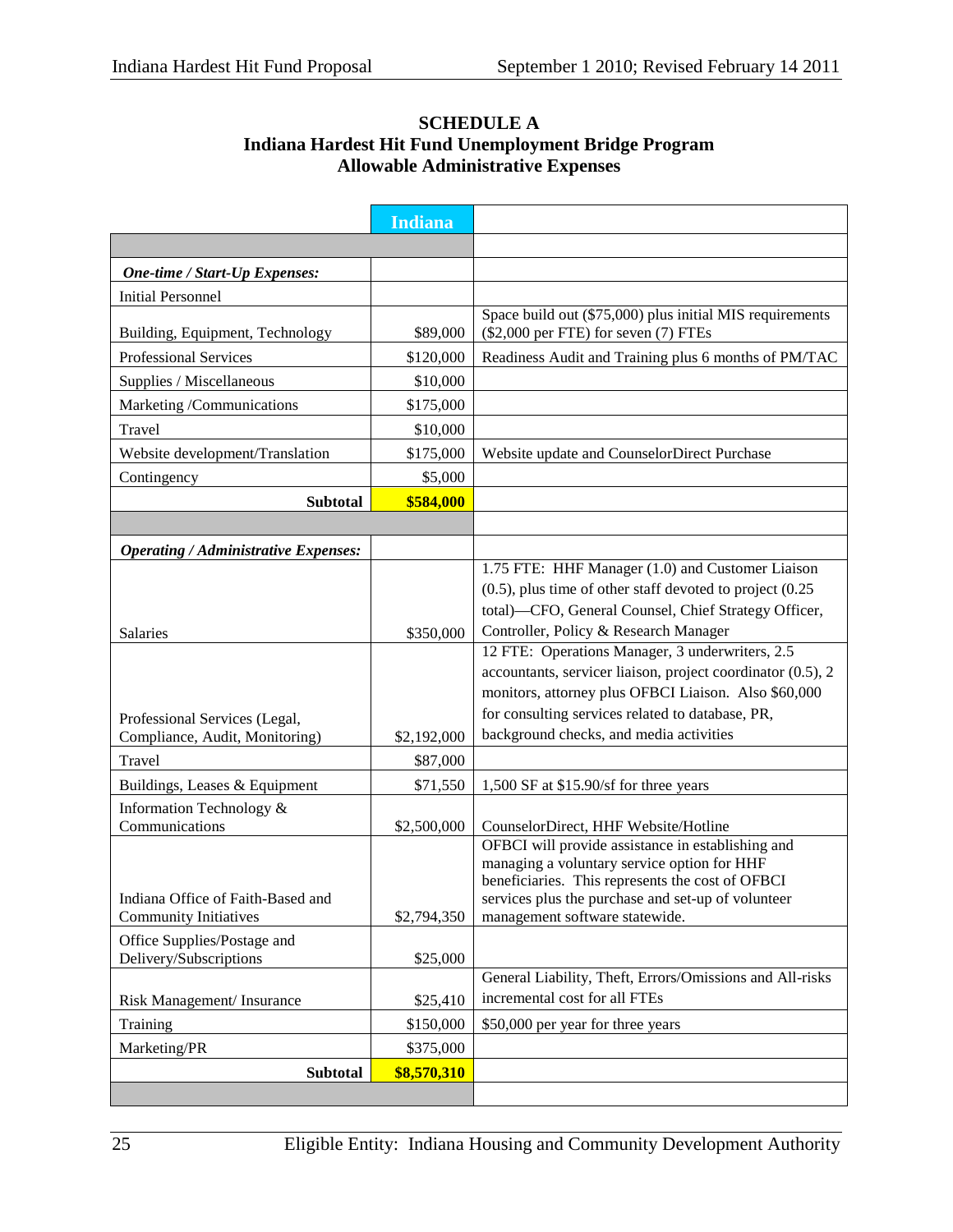|                                                                 | <b>Indiana</b>        |                                                                                                          |
|-----------------------------------------------------------------|-----------------------|----------------------------------------------------------------------------------------------------------|
|                                                                 |                       |                                                                                                          |
| One-time / Start-Up Expenses:                                   |                       |                                                                                                          |
| <b>Initial Personnel</b>                                        |                       |                                                                                                          |
|                                                                 | \$89,000              | Space build out (\$75,000) plus initial MIS requirements<br>(\$2,000 per FTE) for seven (7) FTEs         |
| Building, Equipment, Technology<br><b>Professional Services</b> | \$120,000             |                                                                                                          |
| Supplies / Miscellaneous                                        |                       | Readiness Audit and Training plus 6 months of PM/TAC                                                     |
|                                                                 | \$10,000              |                                                                                                          |
| Marketing /Communications<br>Travel                             | \$175,000<br>\$10,000 |                                                                                                          |
| Website development/Translation                                 | \$175,000             | Website update and CounselorDirect Purchase                                                              |
|                                                                 | \$5,000               |                                                                                                          |
| Contingency                                                     |                       |                                                                                                          |
| <b>Subtotal</b>                                                 | \$584,000             |                                                                                                          |
| <b>Operating / Administrative Expenses:</b>                     |                       |                                                                                                          |
|                                                                 |                       | 1.75 FTE: HHF Manager (1.0) and Customer Liaison                                                         |
|                                                                 |                       | $(0.5)$ , plus time of other staff devoted to project $(0.25)$                                           |
|                                                                 |                       | total)-CFO, General Counsel, Chief Strategy Officer,                                                     |
| <b>Salaries</b>                                                 | \$350,000             | Controller, Policy & Research Manager                                                                    |
|                                                                 |                       | 12 FTE: Operations Manager, 3 underwriters, 2.5                                                          |
|                                                                 |                       | accountants, servicer liaison, project coordinator (0.5), 2                                              |
|                                                                 |                       | monitors, attorney plus OFBCI Liaison. Also \$60,000<br>for consulting services related to database, PR, |
| Professional Services (Legal,<br>Compliance, Audit, Monitoring) | \$2,192,000           | background checks, and media activities                                                                  |
| Travel                                                          | \$87,000              |                                                                                                          |
| Buildings, Leases & Equipment                                   | \$71,550              | 1,500 SF at \$15.90/sf for three years                                                                   |
| Information Technology &                                        |                       |                                                                                                          |
| Communications                                                  | \$2,500,000           | CounselorDirect, HHF Website/Hotline                                                                     |
|                                                                 |                       | OFBCI will provide assistance in establishing and                                                        |
|                                                                 |                       | managing a voluntary service option for HHF<br>beneficiaries. This represents the cost of OFBCI          |
| Indiana Office of Faith-Based and                               |                       | services plus the purchase and set-up of volunteer                                                       |
| <b>Community Initiatives</b>                                    | \$2,794,350           | management software statewide.                                                                           |
| Office Supplies/Postage and                                     |                       |                                                                                                          |
| Delivery/Subscriptions                                          | \$25,000              | General Liability, Theft, Errors/Omissions and All-risks                                                 |
| Risk Management/ Insurance                                      | \$25,410              | incremental cost for all FTEs                                                                            |
| Training                                                        | \$150,000             | \$50,000 per year for three years                                                                        |
| Marketing/PR                                                    | \$375,000             |                                                                                                          |
| <b>Subtotal</b>                                                 | \$8,570,310           |                                                                                                          |
|                                                                 |                       |                                                                                                          |

## **SCHEDULE A Indiana Hardest Hit Fund Unemployment Bridge Program Allowable Administrative Expenses**